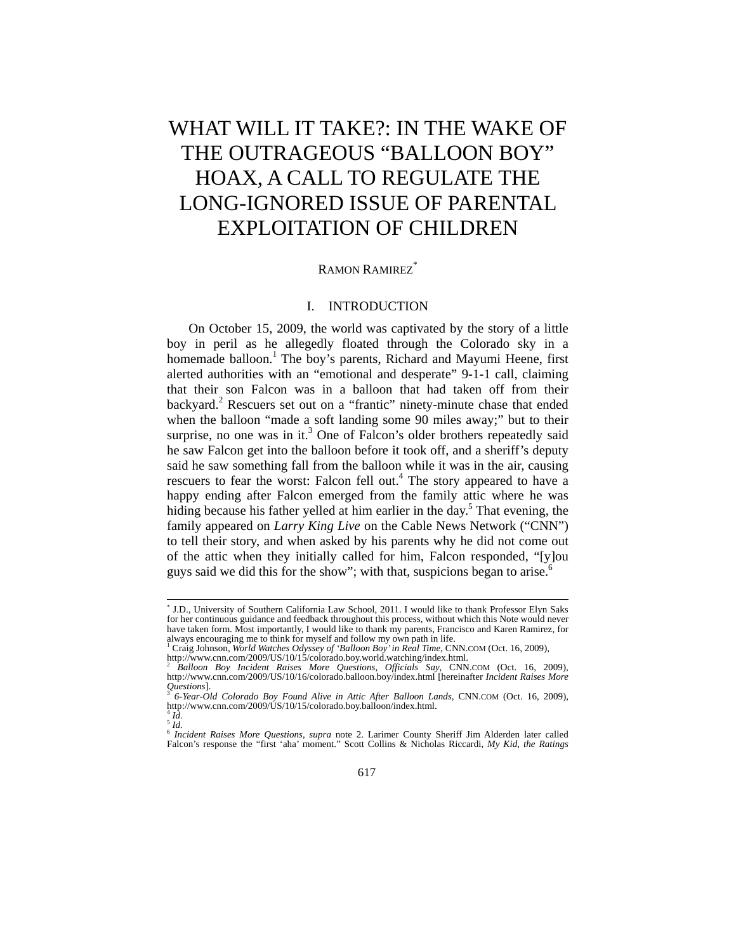# WHAT WILL IT TAKE?: IN THE WAKE OF THE OUTRAGEOUS "BALLOON BOY" HOAX, A CALL TO REGULATE THE LONG-IGNORED ISSUE OF PARENTAL EXPLOITATION OF CHILDREN

#### RAMON RAMIREZ<sup>\*</sup>

# I. INTRODUCTION

On October 15, 2009, the world was captivated by the story of a little boy in peril as he allegedly floated through the Colorado sky in a homemade balloon.<sup>1</sup> The boy's parents, Richard and Mayumi Heene, first alerted authorities with an "emotional and desperate" 9-1-1 call, claiming that their son Falcon was in a balloon that had taken off from their backyard.<sup>2</sup> Rescuers set out on a "frantic" ninety-minute chase that ended when the balloon "made a soft landing some 90 miles away;" but to their surprise, no one was in it.<sup>3</sup> One of Falcon's older brothers repeatedly said he saw Falcon get into the balloon before it took off, and a sheriff's deputy said he saw something fall from the balloon while it was in the air, causing rescuers to fear the worst: Falcon fell out.<sup>4</sup> The story appeared to have a happy ending after Falcon emerged from the family attic where he was hiding because his father yelled at him earlier in the day.<sup>5</sup> That evening, the family appeared on *Larry King Live* on the Cable News Network ("CNN") to tell their story, and when asked by his parents why he did not come out of the attic when they initially called for him, Falcon responded, "[y]ou guys said we did this for the show"; with that, suspicions began to arise.<sup>6</sup>

 <sup>\*</sup> <sup>\*</sup> J.D., University of Southern California Law School, 2011. I would like to thank Professor Elyn Saks for her continuous guidance and feedback throughout this process, without which this Note would never have taken form. Most importantly, I would like to thank my parents, Francisco and Karen Ramirez, for always encouraging me to think for myself and follow my own path in life. 1

<sup>&</sup>lt;sup>1</sup> Craig Johnson, World Watches Odyssey of 'Balloon Boy' in Real Time, CNN.COM (Oct. 16, 2009),<br>http://www.cnn.com/2009/US/10/15/colorado.boy.world.watching/index.html.<br><sup>2</sup> Balloon Boy Incident Raises More Questions, Offi

http://www.cnn.com/2009/US/10/16/colorado.balloon.boy/index.html [hereinafter *Incident Raises More Questions*].<br>http://www.cnn.com/2009/US/10/16/colorado.balloon.boy/index.html [hereinafter *Incident Raises More Quest* 

*Questions*]. 3 *6-Year-Old Colorado Boy Found Alive in Attic After Balloon Lands*, CNN.COM (Oct. 16, 2009), http://www.cnn.com/2009/US/10/15/colorado.boy.balloon/index.html. 4 *Id.* 

 $\overline{\phantom{a}}^{5}$ *Id.* 

<sup>6</sup> *Incident Raises More Questions*, *supra* note 2. Larimer County Sheriff Jim Alderden later called Falcon's response the "first 'aha' moment." Scott Collins & Nicholas Riccardi, *My Kid, the Ratings*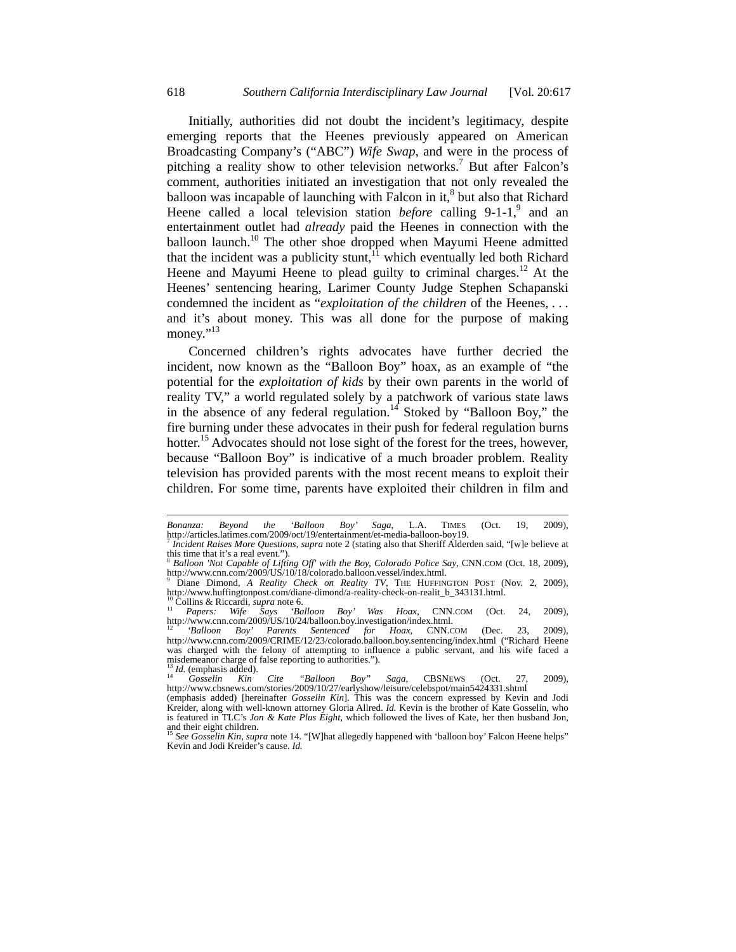Initially, authorities did not doubt the incident's legitimacy, despite emerging reports that the Heenes previously appeared on American Broadcasting Company's ("ABC") *Wife Swap*, and were in the process of pitching a reality show to other television networks.<sup>7</sup> But after Falcon's comment, authorities initiated an investigation that not only revealed the balloon was incapable of launching with Falcon in it,<sup>8</sup> but also that Richard Heene called a local television station *before* calling 9-1-1,<sup>9</sup> and an entertainment outlet had *already* paid the Heenes in connection with the balloon launch.<sup>10</sup> The other shoe dropped when Mayumi Heene admitted that the incident was a publicity stunt, $11$  which eventually led both Richard Heene and Mayumi Heene to plead guilty to criminal charges.<sup>12</sup> At the Heenes' sentencing hearing, Larimer County Judge Stephen Schapanski condemned the incident as "*exploitation of the children* of the Heenes, . . . and it's about money. This was all done for the purpose of making money."<sup>13</sup>

Concerned children's rights advocates have further decried the incident, now known as the "Balloon Boy" hoax, as an example of "the potential for the *exploitation of kids* by their own parents in the world of reality TV," a world regulated solely by a patchwork of various state laws in the absence of any federal regulation.<sup>14</sup> Stoked by "Balloon Boy," the fire burning under these advocates in their push for federal regulation burns hotter.<sup>15</sup> Advocates should not lose sight of the forest for the trees, however, because "Balloon Boy" is indicative of a much broader problem. Reality television has provided parents with the most recent means to exploit their children. For some time, parents have exploited their children in film and

l

*Bonanza: Beyond the 'Balloon Boy' Saga*, L.A. TIMES (Oct. 19, 2009),

*Incident Raises More Questions, supra* note 2 (stating also that Sheriff Alderden said, "[w]e believe at this time that it's a real event.").

<sup>8</sup> *Balloon 'Not Capable of Lifting Off' with the Boy, Colorado Police Say*, CNN.COM (Oct. 18, 2009), http://www.cnn.com/2009/US/10/18/colorado.balloon.vessel/index.html.

Diane Dimond, *A Reality Check on Reality TV*, THE HUFFINGTON POST (Nov. 2, 2009), http://www.huffingtonpost.com/diane-dimond/a-reality-check-on-realit\_b\_343131.html.<br><sup>10</sup> Collins & Riccardi, *supra* note 6. <sup>11</sup> *Papers: Wife Says 'Balloon Boy' Was Hoax*, CNN.COM (Oct. 24, 2009),

http://www.cnn.com/2009/US/10/24/balloon.boy.investigation/index.html. 12 *'Balloon Boy' Parents Sentenced for Hoax*, CNN.COM (Dec. 23, 2009),

http://www.cnn.com/2009/CRIME/12/23/colorado.balloon.boy.sentencing/index.html ("Richard Heene was charged with the felony of attempting to influence a public servant, and his wife faced a misdemeanor charge of false reporting to authorities.").<br><sup>13</sup> *Id.* (emphasis added).<br><sup>14</sup> *Gosselin Kin Cite "Balloon Boy" Saga*, CBSNEWS (Oct. 27, 2009),

http://www.cbsnews.com/stories/2009/10/27/earlyshow/leisure/celebspot/main5424331.shtml

<sup>(</sup>emphasis added) [hereinafter *Gosselin Kin*]. This was the concern expressed by Kevin and Jodi Kreider, along with well-known attorney Gloria Allred. *Id.* Kevin is the brother of Kate Gosselin, who is featured in TLC's *Jon & Kate Plus Eight*, which followed the lives of Kate, her then husband Jon, and their eight children.

<sup>15</sup> *See Gosselin Kin*, *supra* note 14. "[W]hat allegedly happened with 'balloon boy' Falcon Heene helps" Kevin and Jodi Kreider's cause. *Id.*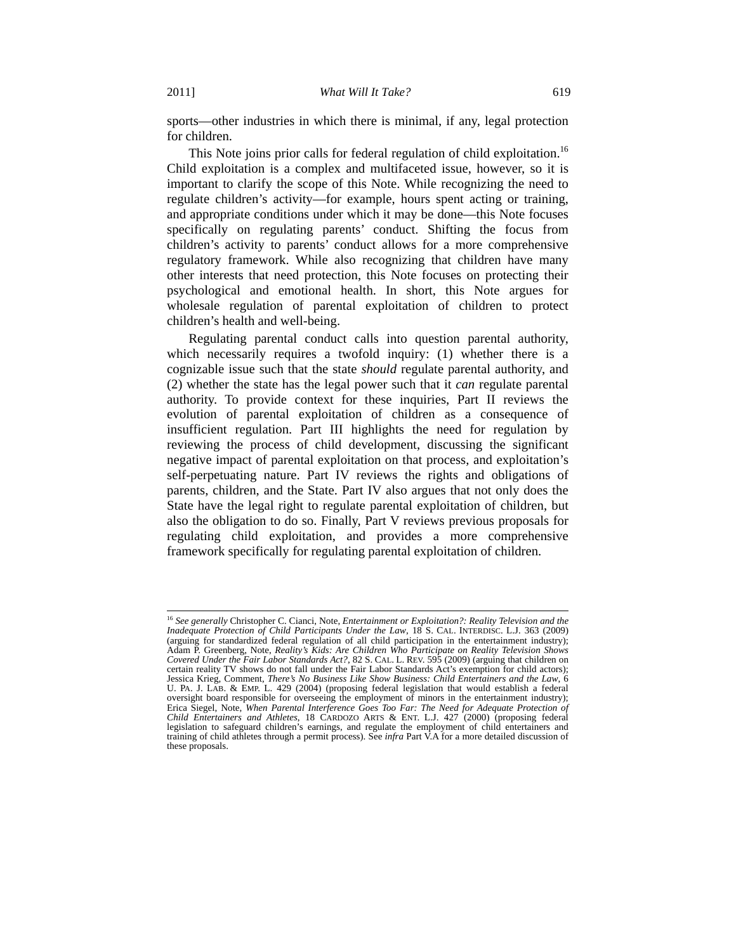sports—other industries in which there is minimal, if any, legal protection for children.

This Note joins prior calls for federal regulation of child exploitation.<sup>16</sup> Child exploitation is a complex and multifaceted issue, however, so it is important to clarify the scope of this Note. While recognizing the need to regulate children's activity—for example, hours spent acting or training, and appropriate conditions under which it may be done—this Note focuses specifically on regulating parents' conduct. Shifting the focus from children's activity to parents' conduct allows for a more comprehensive regulatory framework. While also recognizing that children have many other interests that need protection, this Note focuses on protecting their psychological and emotional health. In short, this Note argues for wholesale regulation of parental exploitation of children to protect children's health and well-being.

Regulating parental conduct calls into question parental authority, which necessarily requires a twofold inquiry: (1) whether there is a cognizable issue such that the state *should* regulate parental authority, and (2) whether the state has the legal power such that it *can* regulate parental authority. To provide context for these inquiries, Part II reviews the evolution of parental exploitation of children as a consequence of insufficient regulation. Part III highlights the need for regulation by reviewing the process of child development, discussing the significant negative impact of parental exploitation on that process, and exploitation's self-perpetuating nature. Part IV reviews the rights and obligations of parents, children, and the State. Part IV also argues that not only does the State have the legal right to regulate parental exploitation of children, but also the obligation to do so. Finally, Part V reviews previous proposals for regulating child exploitation, and provides a more comprehensive framework specifically for regulating parental exploitation of children.

<sup>&</sup>lt;sup>16</sup> See generally Christopher C. Cianci, Note, *Entertainment or Exploitation?*: Reality Television and the *Inadequate Protection of Child Participants Under the Law*, 18 S. CAL. INTERDISC. L.J. 363 (2009) (arguing for standardized federal regulation of all child participation in the entertainment industry); Adam P. Greenberg, Note, *Reality's Kids: Are Children Who Participate on Reality Television Shows Covered Under the Fair Labor Standards Act?*, 82 S. CAL. L. REV. 595 (2009) (arguing that children on certain reality TV shows do not fall under the Fair Labor Standards Act's exemption for child actors); Jessica Krieg, Comment, *There's No Business Like Show Business: Child Entertainers and the Law*, 6 U. PA. J. LAB. & EMP. L. 429 (2004) (proposing federal legislation that would establish a federal oversight board responsible for overseeing the employment of minors in the entertainment industry); Erica Siegel, Note, *When Parental Interference Goes Too Far: The Need for Adequate Protection of Child Entertainers and Athletes*, 18 CARDOZO ARTS & ENT. L.J. 427 (2000) (proposing federal legislation to safeguard children's earnings, and regulate the employment of child entertainers and training of child athletes through a permit process). See *infra* Part V.A for a more detailed discussion of these proposals.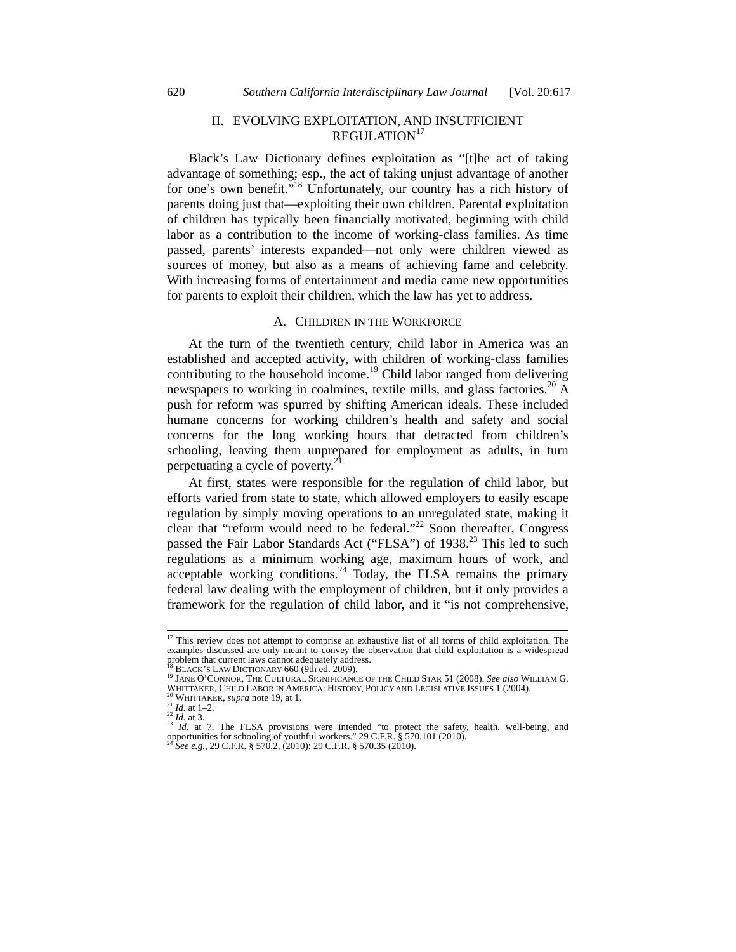# II. EVOLVING EXPLOITATION, AND INSUFFICIENT REGULATION<sup>17</sup>

Black's Law Dictionary defines exploitation as "[t]he act of taking advantage of something; esp., the act of taking unjust advantage of another for one's own benefit."<sup>18</sup> Unfortunately, our country has a rich history of parents doing just that—exploiting their own children. Parental exploitation of children has typically been financially motivated, beginning with child labor as a contribution to the income of working-class families. As time passed, parents' interests expanded—not only were children viewed as sources of money, but also as a means of achieving fame and celebrity. With increasing forms of entertainment and media came new opportunities for parents to exploit their children, which the law has yet to address.

#### A. CHILDREN IN THE WORKFORCE

At the turn of the twentieth century, child labor in America was an established and accepted activity, with children of working-class families contributing to the household income.<sup>19</sup> Child labor ranged from delivering newspapers to working in coalmines, textile mills, and glass factories.<sup>20</sup> A push for reform was spurred by shifting American ideals. These included humane concerns for working children's health and safety and social concerns for the long working hours that detracted from children's schooling, leaving them unprepared for employment as adults, in turn perpetuating a cycle of poverty. $2<sup>2</sup>$ 

At first, states were responsible for the regulation of child labor, but efforts varied from state to state, which allowed employers to easily escape regulation by simply moving operations to an unregulated state, making it clear that "reform would need to be federal."22 Soon thereafter, Congress passed the Fair Labor Standards Act ("FLSA") of 1938.<sup>23</sup> This led to such regulations as a minimum working age, maximum hours of work, and acceptable working conditions.<sup>24</sup> Today, the FLSA remains the primary federal law dealing with the employment of children, but it only provides a framework for the regulation of child labor, and it "is not comprehensive,

<sup>&</sup>lt;sup>17</sup> This review does not attempt to comprise an exhaustive list of all forms of child exploitation. The examples discussed are only meant to convey the observation that child exploitation is a widespread problem that current laws cannot adequately address.

<sup>&</sup>lt;sup>18</sup> BLACK'S LAW DICTIONARY 660 (9th ed. 2009).<br><sup>19</sup> Jane O'Connor, The Cultural Significance of the Child Star 51 (2008). *See also* William G.<br>WHITTAKER, CHILD LABOR IN AMERICA: HISTORY, POLICY AND LEGISLATIVE ISSUES 1 (

<sup>&</sup>lt;sup>20</sup> WHITTAKER, *supra* note 19, at 1.<br>
<sup>21</sup> *Id.* at 1–2.<br>
<sup>22</sup> *Id.* at 1. The FLSA provisions were intended "to protect the safety, health, well-being, and<br>
<sup>23</sup> *Id.* at 7. The FLSA provisions were intended "to protec opportunities for schooling of youthful workers." 29 C.F.R. § 570.101 (2010).<br><sup>24</sup> *See e.g.*, 29 C.F.R. § 570.2, (2010); 29 C.F.R. § 570.35 (2010).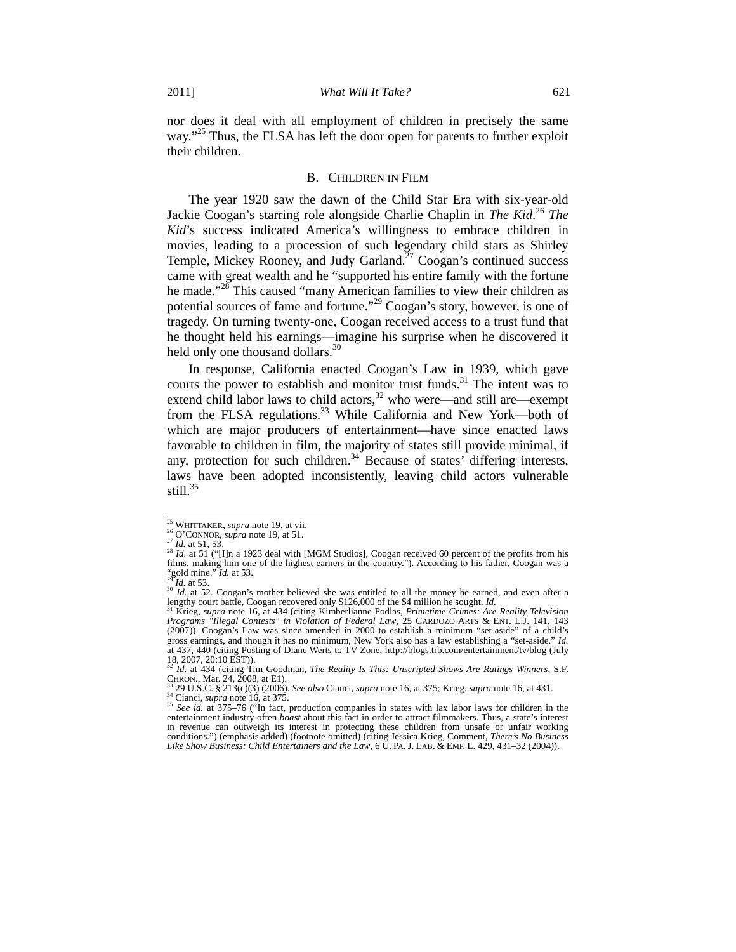nor does it deal with all employment of children in precisely the same way."<sup>25</sup> Thus, the FLSA has left the door open for parents to further exploit their children.

#### B. CHILDREN IN FILM

The year 1920 saw the dawn of the Child Star Era with six-year-old Jackie Coogan's starring role alongside Charlie Chaplin in *The Kid*. <sup>26</sup> *The Kid*'s success indicated America's willingness to embrace children in movies, leading to a procession of such legendary child stars as Shirley Temple, Mickey Rooney, and Judy Garland.<sup>27</sup> Coogan's continued success came with great wealth and he "supported his entire family with the fortune he made."<sup>28</sup> This caused "many American families to view their children as potential sources of fame and fortune."29 Coogan's story, however, is one of tragedy. On turning twenty-one, Coogan received access to a trust fund that he thought held his earnings—imagine his surprise when he discovered it held only one thousand dollars.<sup>30</sup>

In response, California enacted Coogan's Law in 1939, which gave courts the power to establish and monitor trust funds.<sup>31</sup> The intent was to extend child labor laws to child actors, $32$  who were—and still are—exempt from the FLSA regulations.<sup>33</sup> While California and New York—both of which are major producers of entertainment—have since enacted laws favorable to children in film, the majority of states still provide minimal, if any, protection for such children.<sup>34</sup> Because of states' differing interests, laws have been adopted inconsistently, leaving child actors vulnerable still. $35$ 

<sup>&</sup>lt;sup>25</sup> WHITTAKER, *supra* note 19, at vii.<br><sup>26</sup> O'CONNOR, *supra* note 19, at 51.<br><sup>27</sup> *Id.* at 51, 53.<br><sup>28</sup> *Id.* at 51 ("[I]n a 1923 deal with [MGM Studios], Coogan received 60 percent of the profits from his films, making him one of the highest earners in the country."). According to his father, Coogan was a  $^{26}$  M in the country."

<sup>&</sup>lt;sup>29</sup> *Id.* at 53. 29 *Id.* at 52. Coogan's mother believed she was entitled to all the money he earned, and even after a lengthy court battle, Coogan recovered only \$126,000 of the \$4 million he sought. *Id.* 31 Krieg, *supra* note 16, at 434 (citing Kimberlianne Podlas, *Primetime Crimes: Are Reality Television* 

*Programs "Illegal Contests" in Violation of Federal Law*, 25 CARDOZO ARTS & ENT. L.J. 141, 143 (2007)). Coogan's Law was since amended in 2000 to establish a minimum "set-aside" of a child's gross earnings, and though it has no minimum, New York also has a law establishing a "set-aside." *Id.* at 437, 440 (citing Posting of Diane Werts to TV Zone, http://blogs.trb.com/entertainment/tv/blog (July 18, 2007, 20:10 EST)). <sup>32</sup> *Id.* at 434 (citing Tim Goodman, *The Reality Is This: Unscripted Shows Are Ratings Winners*, S.F.

CHRON., Mar. 24, 2008, at E1).<br>
<sup>33</sup> 29 U.S.C. § 213(c)(3) (2006). *See also* Cianci, *supra* note 16, at 375; Krieg, *supra* note 16, at 431.<br>
<sup>34</sup> Cianci, *supra* note 16, at 375.<br>
<sup>35</sup> *See id.* at 375–76 ("In fact, pro

entertainment industry often *boast* about this fact in order to attract filmmakers. Thus, a state's interest in revenue can outweigh its interest in protecting these children from unsafe or unfair working conditions.") (emphasis added) (footnote omitted) (citing Jessica Krieg, Comment, *There's No Business Like Show Business: Child Entertainers and the Law*, 6 U. PA. J. LAB. & EMP. L. 429, 431–32 (2004)).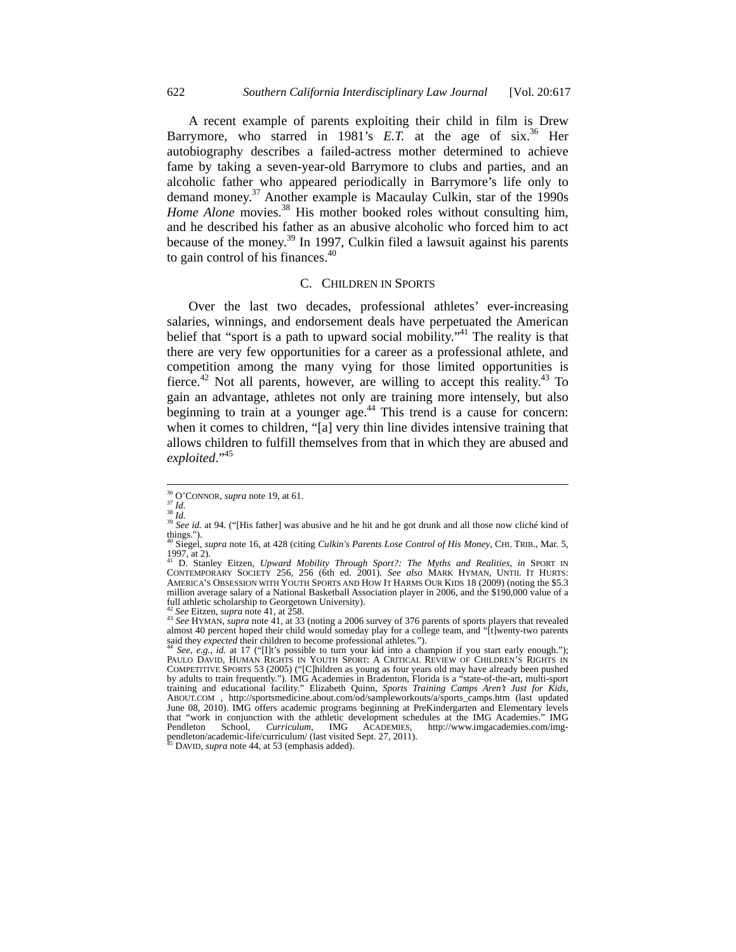A recent example of parents exploiting their child in film is Drew Barrymore, who starred in 1981's  $E.T.$  at the age of six.<sup>36</sup> Her autobiography describes a failed-actress mother determined to achieve fame by taking a seven-year-old Barrymore to clubs and parties, and an alcoholic father who appeared periodically in Barrymore's life only to demand money.37 Another example is Macaulay Culkin, star of the 1990s *Home Alone* movies.<sup>38</sup> His mother booked roles without consulting him, and he described his father as an abusive alcoholic who forced him to act because of the money. $^{39}$  In 1997, Culkin filed a lawsuit against his parents to gain control of his finances.<sup>40</sup>

# C. CHILDREN IN SPORTS

Over the last two decades, professional athletes' ever-increasing salaries, winnings, and endorsement deals have perpetuated the American belief that "sport is a path to upward social mobility."<sup>41</sup> The reality is that there are very few opportunities for a career as a professional athlete, and competition among the many vying for those limited opportunities is fierce.<sup>42</sup> Not all parents, however, are willing to accept this reality.<sup>43</sup> To gain an advantage, athletes not only are training more intensely, but also beginning to train at a younger age.<sup>44</sup> This trend is a cause for concern: when it comes to children, "[a] very thin line divides intensive training that allows children to fulfill themselves from that in which they are abused and *exploited*."45

<sup>&</sup>lt;sup>36</sup> O'CONNOR, *supra* note 19, at 61.<br><sup>37</sup> *Id.*<br><sup>38</sup> *Id.*<br><sup>39</sup> *See id.* at 94. ("[His father] was abusive and he hit and he got drunk and all those now cliché kind of things."). 40 Siegel, *supra* note 16, at 428 (citing *Culkin's Parents Lose Control of His Money*, CHI. TRIB., Mar. 5,

<sup>1997,</sup> at 2).

<sup>41</sup> D. Stanley Eitzen, *Upward Mobility Through Sport?: The Myths and Realities*, *in* SPORT IN CONTEMPORARY SOCIETY 256, 256 (6th ed. 2001). *See also* MARK HYMAN, UNTIL IT HURTS: AMERICA'S OBSESSION WITH YOUTH SPORTS AND HOW IT HARMS OUR KIDS 18 (2009) (noting the \$5.3 million average salary of a National Basketball Association player in 2006, and the \$190,000 value of a

<sup>&</sup>lt;sup>42</sup> See Eitzen, *supra* note 41, at 258.<br><sup>43</sup> See HYMAN, *supra* note 41, at 33 (noting a 2006 survey of 376 parents of sports players that revealed almost 40 percent hoped their child would someday play for a college team, and "[t]wenty-two parents said they *expected* their children to become professional athletes.").

See, e.g., *id.* at 17 ("[I]t's possible to turn your kid into a champion if you start early enough."); PAULO DAVID, HUMAN RIGHTS IN YOUTH SPORT: A CRITICAL REVIEW OF CHILDREN'S RIGHTS IN COMPETITIVE SPORTS 53 (2005) ("[C]hildren as young as four years old may have already been pushed by adults to train frequently."). IMG Academies in Bradenton, Florida is a "state-of-the-art, multi-sport training and educational facility." Elizabeth Quinn, *Sports Training Camps Aren't Just for Kids*, ABOUT.COM , http://sportsmedicine.about.com/od/sampleworkouts/a/sports\_camps.htm (last updated June 08, 2010). IMG offers academic programs beginning at PreKindergarten and Elementary levels that "work in conjunction with the athletic development schedules at the IMG Academies." IMG<br>Pendleton School, *Curriculum*, IMG ACADEMIES, http://www.imgacademies.com/img-Pendleton School, *Curriculum*, IMG ACADEMIES, pendleton/academic-life/curriculum/ (last visited Sept. 27, 2011). 45 DAVID, *supra* note 44, at 53 (emphasis added).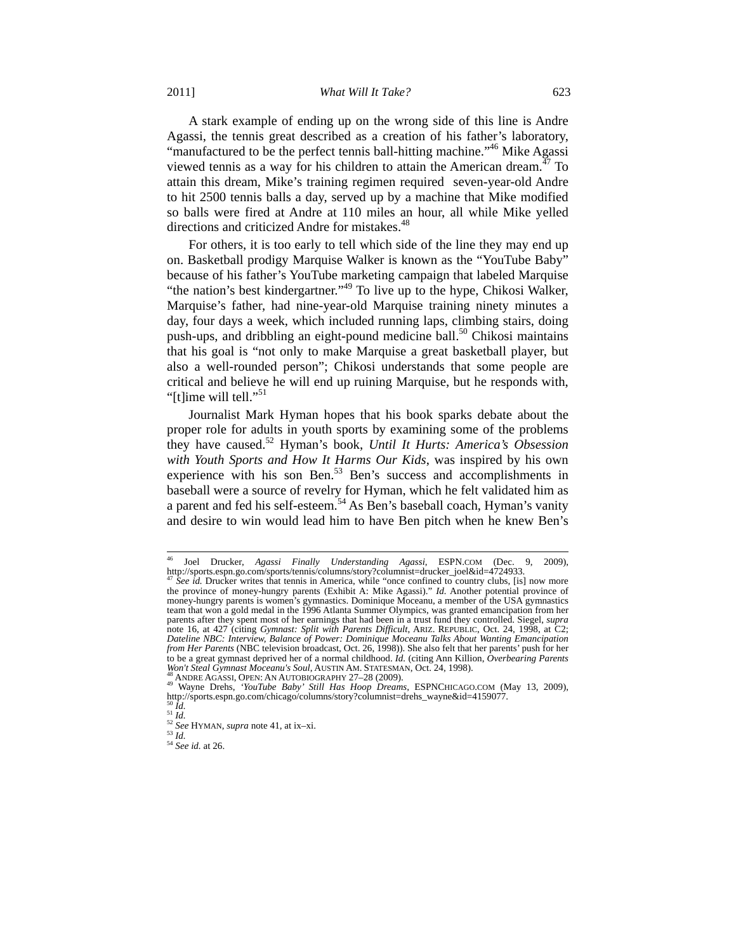2011] *What Will It Take?* 623

A stark example of ending up on the wrong side of this line is Andre Agassi, the tennis great described as a creation of his father's laboratory, "manufactured to be the perfect tennis ball-hitting machine."<sup>46</sup> Mike Agassi viewed tennis as a way for his children to attain the American dream.<sup> $47$ </sup> To attain this dream, Mike's training regimen required seven-year-old Andre to hit 2500 tennis balls a day, served up by a machine that Mike modified so balls were fired at Andre at 110 miles an hour, all while Mike yelled directions and criticized Andre for mistakes.<sup>48</sup>

For others, it is too early to tell which side of the line they may end up on. Basketball prodigy Marquise Walker is known as the "YouTube Baby" because of his father's YouTube marketing campaign that labeled Marquise "the nation's best kindergartner."<sup>49</sup> To live up to the hype, Chikosi Walker, Marquise's father, had nine-year-old Marquise training ninety minutes a day, four days a week, which included running laps, climbing stairs, doing push-ups, and dribbling an eight-pound medicine ball.<sup>50</sup> Chikosi maintains that his goal is "not only to make Marquise a great basketball player, but also a well-rounded person"; Chikosi understands that some people are critical and believe he will end up ruining Marquise, but he responds with, "[t]ime will tell."<sup>51</sup>

Journalist Mark Hyman hopes that his book sparks debate about the proper role for adults in youth sports by examining some of the problems they have caused.52 Hyman's book, *Until It Hurts: America's Obsession with Youth Sports and How It Harms Our Kids*, was inspired by his own experience with his son Ben.<sup>53</sup> Ben's success and accomplishments in baseball were a source of revelry for Hyman, which he felt validated him as a parent and fed his self-esteem.54 As Ben's baseball coach, Hyman's vanity and desire to win would lead him to have Ben pitch when he knew Ben's

 <sup>46</sup> Joel Drucker, *Agassi Finally Understanding Agassi*, ESPN.COM (Dec. 9, 2009), http://sports.espn.go.com/sports/tennis/columns/story?columnist=drucker\_joel&id=4724933. <br><sup>47</sup> *See id.* Drucker writes that tennis in America, while "once confined to country clubs, [is] now more

the province of money-hungry parents (Exhibit A: Mike Agassi)." *Id.* Another potential province of money-hungry parents is women's gymnastics. Dominique Moceanu, a member of the USA gymnastics team that won a gold medal in the 1996 Atlanta Summer Olympics, was granted emancipation from her parents after they spent most of her earnings that had been in a trust fund they controlled. Siegel, *supra* note 16, at 427 (citing *Gymnast: Split with Parents Difficult*, ARIZ. REPUBLIC, Oct. 24, 1998, at C2; *Dateline NBC: Interview, Balance of Power: Dominique Moceanu Talks About Wanting Emancipation from Her Parents* (NBC television broadcast, Oct. 26, 1998)). She also felt that her parents' push for her to be a great gymnast deprived her of a normal childhood. *Id.* (citing Ann Killion, *Overbearing Parents* 

<sup>&</sup>lt;sup>48</sup> ANDRE AGASSI, OPEN: AN AUTOBIOGRAPHY 27-28 (2009).<br><sup>49</sup> Wayne Drehs, *'YouTube Baby' Still Has Hoop Dreams*, ESPNCHICAGO.COM (May 13, 2009), http://sports.espn.go.com/chicago/columns/story?columnist=drehs\_wayne&id=4159077.<br>
<sup>51</sup> *Id.*<br>
<sup>52</sup> *See* HYMAN, *supra* note 41, at ix–xi.<br>
<sup>53</sup> *Id.*<br>
<sup>54</sup> *See id.* at 26.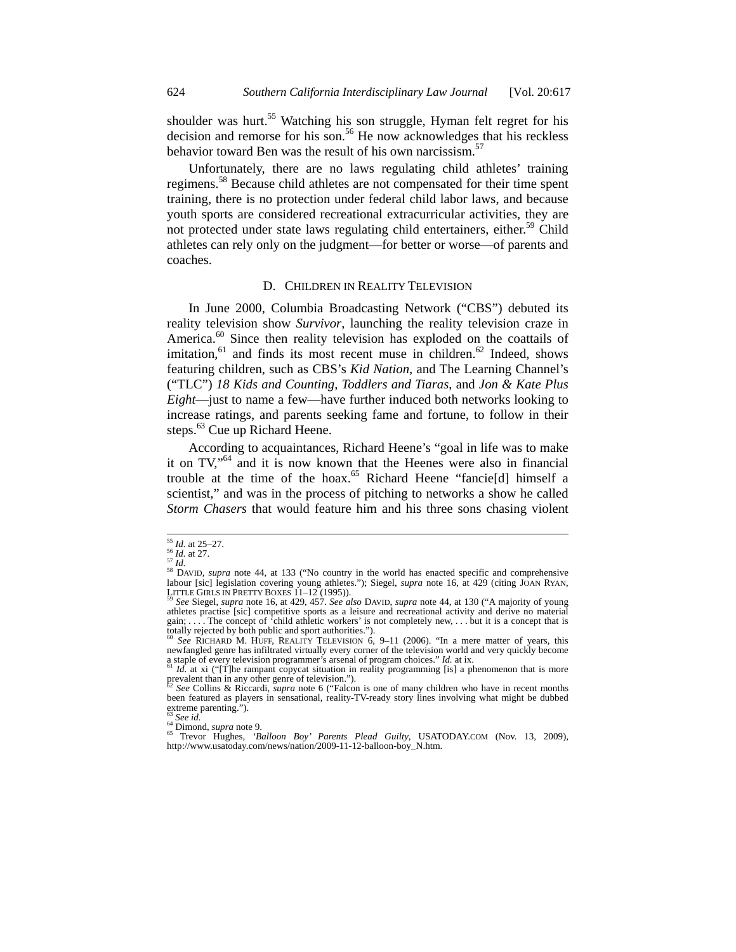shoulder was hurt.<sup>55</sup> Watching his son struggle, Hyman felt regret for his decision and remorse for his son.<sup>56</sup> He now acknowledges that his reckless behavior toward Ben was the result of his own narcissism.<sup>57</sup>

Unfortunately, there are no laws regulating child athletes' training regimens.58 Because child athletes are not compensated for their time spent training, there is no protection under federal child labor laws, and because youth sports are considered recreational extracurricular activities, they are not protected under state laws regulating child entertainers, either.<sup>59</sup> Child athletes can rely only on the judgment—for better or worse—of parents and coaches.

#### D. CHILDREN IN REALITY TELEVISION

In June 2000, Columbia Broadcasting Network ("CBS") debuted its reality television show *Survivor*, launching the reality television craze in America.<sup>60</sup> Since then reality television has exploded on the coattails of imitation, $61$  and finds its most recent muse in children. $62$  Indeed, shows featuring children, such as CBS's *Kid Nation*, and The Learning Channel's ("TLC") *18 Kids and Counting*, *Toddlers and Tiaras*, and *Jon & Kate Plus Eight*—just to name a few—have further induced both networks looking to increase ratings, and parents seeking fame and fortune, to follow in their steps.<sup>63</sup> Cue up Richard Heene.

According to acquaintances, Richard Heene's "goal in life was to make it on  $TV$ ,<sup> $64$ </sup> and it is now known that the Heenes were also in financial trouble at the time of the hoax.<sup>65</sup> Richard Heene "fancie<sup>[d]</sup> himself a scientist," and was in the process of pitching to networks a show he called *Storm Chasers* that would feature him and his three sons chasing violent

<sup>&</sup>lt;sup>55</sup> *Id.* at 25–27.<br><sup>56</sup> *Id.* at 27.<br><sup>57</sup> *Id.* 58 DAVID, *supra* note 44, at 133 ("No country in the world has enacted specific and comprehensive labour [sic] legislation covering young athletes."); Siegel, *supra* note 16, at 429 (citing JOAN RYAN, LITTLE GIRLS IN PRETTY BOXES 11–12 (1995)). 59 *See* Siegel, *supra* note 16, at 429, 457. *See also* DAVID, *supra* note 44, at 130 ("A majority of young

athletes practise [sic] competitive sports as a leisure and recreational activity and derive no material gain; . . . . The concept of 'child athletic workers' is not completely new, . . . but it is a concept that is totally rejected by both public and sport authorities."). 60 *See* RICHARD M. HUFF, REALITY TELEVISION 6, 9–11 (2006). "In a mere matter of years, this

newfangled genre has infiltrated virtually every corner of the television world and very quickly become a staple of every television programmer's arsenal of program choices." *Id.* at ix. <sup>61</sup> *Id.* at xi ("[T]he rampant copycat situation in reality programming [is] a phenomenon that is more

prevalent than in any other genre of television.").

<sup>62</sup> *See* Collins & Riccardi, *supra* note 6 ("Falcon is one of many children who have in recent months been featured as players in sensational, reality-TV-ready story lines involving what might be dubbed extreme parenting.").

<sup>63</sup> *See id.*<br><sup>64</sup> Dimond, *supra* note 9.<br><sup>64</sup> Dimond, *supra* note 9.<br><sup>65</sup> Trevor Hughes, *'Balloon Boy' Parents Plead Guilty*, USATODAY.COM (Nov. 13, 2009), http://www.usatoday.com/news/nation/2009-11-12-balloon-boy\_N.htm.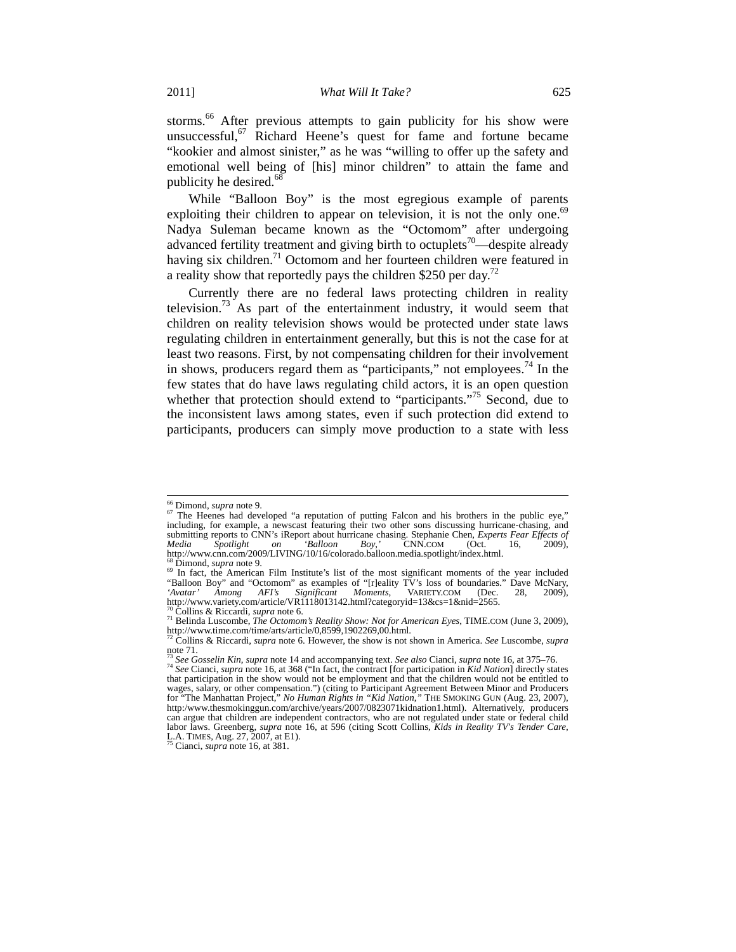storms.<sup>66</sup> After previous attempts to gain publicity for his show were unsuccessful,  $67$  Richard Heene's quest for fame and fortune became "kookier and almost sinister," as he was "willing to offer up the safety and emotional well being of [his] minor children" to attain the fame and publicity he desired.<sup>68</sup>

While "Balloon Boy" is the most egregious example of parents exploiting their children to appear on television, it is not the only one.<sup>69</sup> Nadya Suleman became known as the "Octomom" after undergoing advanced fertility treatment and giving birth to octuplets<sup>70</sup>—despite already having six children.<sup>71</sup> Octomom and her fourteen children were featured in a reality show that reportedly pays the children \$250 per day.<sup>72</sup>

Currently there are no federal laws protecting children in reality television.<sup>73</sup> As part of the entertainment industry, it would seem that children on reality television shows would be protected under state laws regulating children in entertainment generally, but this is not the case for at least two reasons. First, by not compensating children for their involvement in shows, producers regard them as "participants," not employees.<sup>74</sup> In the few states that do have laws regulating child actors, it is an open question whether that protection should extend to "participants."<sup>75</sup> Second, due to the inconsistent laws among states, even if such protection did extend to participants, producers can simply move production to a state with less

<sup>&</sup>lt;sup>66</sup> Dimond, *supra* note 9.<br><sup>67</sup> The Heenes had developed "a reputation of putting Falcon and his brothers in the public eye," including, for example, a newscast featuring their two other sons discussing hurricane-chasing, and submitting reports to CNN's iReport about hurricane chasing. Stephanie Chen, *Experts Fear Effects of Media Spotlight on 'Balloon Boy*,' CNN.COM (Oct. 16, 2009),<br>http://www.com.com/2009/LIVING/10/16/colorado.balloon.media.spotlight/index.html.

<sup>&</sup>lt;sup>os</sup> Dimond, *supra* note 9.<br><sup>69</sup> In fact, the American Film Institute's list of the most significant moments of the year included "Balloon Boy" and "Octomom" as examples of "[r]eality TV's loss of boundaries." Dave McNary, 'Avatar' Among AFI's Significant Moments, VARIETY.COM (Dec. 28, 2009), *Avatar' Among AFI's Significant Moments*, VARIETY.COM (Dec. 28, 2009), http://www.variety.com/article/VR1118013142.html?categoryid=13&cs=1&nid=2565.

<sup>&</sup>lt;sup>70</sup> Collins & Riccardi, *supra* note 6.<br><sup>71</sup> Belinda Luscombe, *The Octomom's Reality Show: Not for American Eyes*, TIME.COM (June 3, 2009), http://www.time.com/time/arts/article/0,8599,1902269,00.html. 72 Collins & Riccardi, *supra* note 6. However, the show is not shown in America. *See* Luscombe, *supra*

note 71.<br><sup>73</sup> See Gosselin Kin, supra note 14 and accompanying text. See also Cianci, supra note 16, at 375–76.

<sup>&</sup>lt;sup>14</sup> See Cianci, supra note 16, at 368 ("In fact, the contract [for participation in *Kid Nation*] directly states that participation in the show would not be employment and that the children would not be entitled to wages, salary, or other compensation.") (citing to Participant Agreement Between Minor and Producers for "The Manhattan Project," *No Human Rights in "Kid Nation*,*"* THE SMOKING GUN (Aug. 23, 2007), http:/www.thesmokinggun.com/archive/years/2007/0823071kidnation1.html). Alternatively, producers can argue that children are independent contractors, who are not regulated under state or federal child labor laws. Greenberg, *supra* note 16, at 596 (citing Scott Collins, *Kids in Reality TV's Tender Care*, L.A. TIMES, Aug. 27, 2007, at E1). 75 Cianci, *supra* note 16, at 381.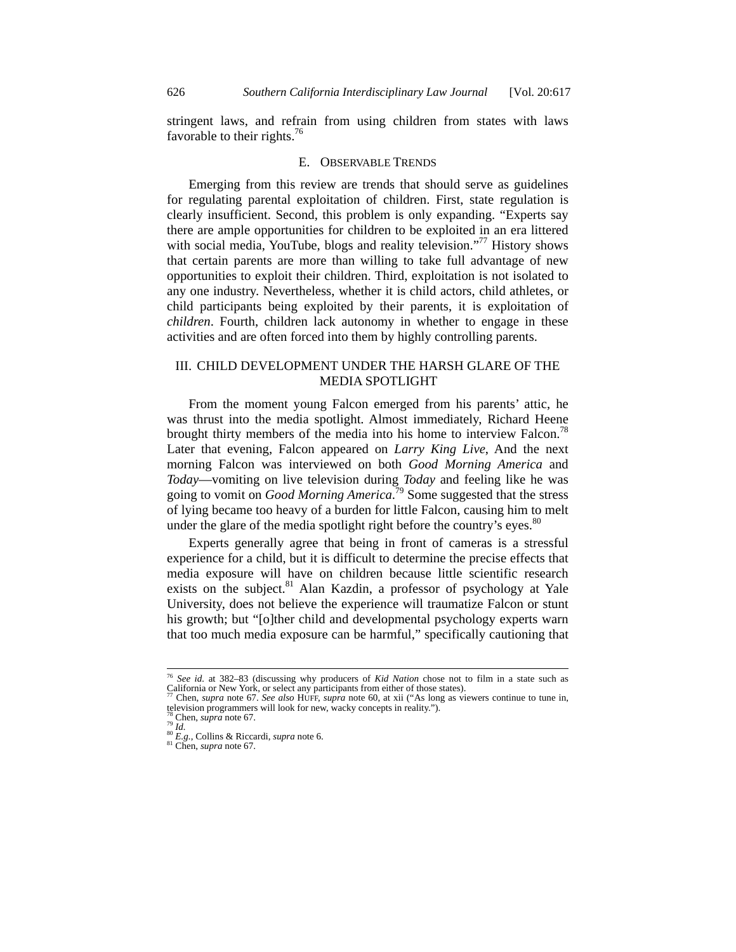stringent laws, and refrain from using children from states with laws favorable to their rights.<sup>76</sup>

#### E. OBSERVABLE TRENDS

Emerging from this review are trends that should serve as guidelines for regulating parental exploitation of children. First, state regulation is clearly insufficient. Second, this problem is only expanding. "Experts say there are ample opportunities for children to be exploited in an era littered with social media, YouTube, blogs and reality television."<sup>77</sup> History shows that certain parents are more than willing to take full advantage of new opportunities to exploit their children. Third, exploitation is not isolated to any one industry. Nevertheless, whether it is child actors, child athletes, or child participants being exploited by their parents, it is exploitation of *children*. Fourth, children lack autonomy in whether to engage in these activities and are often forced into them by highly controlling parents.

# III. CHILD DEVELOPMENT UNDER THE HARSH GLARE OF THE MEDIA SPOTLIGHT

From the moment young Falcon emerged from his parents' attic, he was thrust into the media spotlight. Almost immediately, Richard Heene brought thirty members of the media into his home to interview Falcon.<sup>78</sup> Later that evening, Falcon appeared on *Larry King Live*, And the next morning Falcon was interviewed on both *Good Morning America* and *Today*—vomiting on live television during *Today* and feeling like he was going to vomit on *Good Morning America*. 79 Some suggested that the stress of lying became too heavy of a burden for little Falcon, causing him to melt under the glare of the media spotlight right before the country's eyes. $80$ 

Experts generally agree that being in front of cameras is a stressful experience for a child, but it is difficult to determine the precise effects that media exposure will have on children because little scientific research exists on the subject. $81$  Alan Kazdin, a professor of psychology at Yale University, does not believe the experience will traumatize Falcon or stunt his growth; but "[o]ther child and developmental psychology experts warn that too much media exposure can be harmful," specifically cautioning that

 <sup>76</sup> *See id.* at 382–83 (discussing why producers of *Kid Nation* chose not to film in a state such as

Chen, *supra* note 67. *See also* HUFF, *supra* note 60, at xii ("As long as viewers continue to tune in, television programmers will look for new, wacky concepts in reality.").<br><sup>78</sup> Chen, *supra* note 67.<br><sup>80</sup> *Id.* 80 *E.g.*, Collins & Riccardi, *supra* note 6. 81 Chen, *supra* note 67.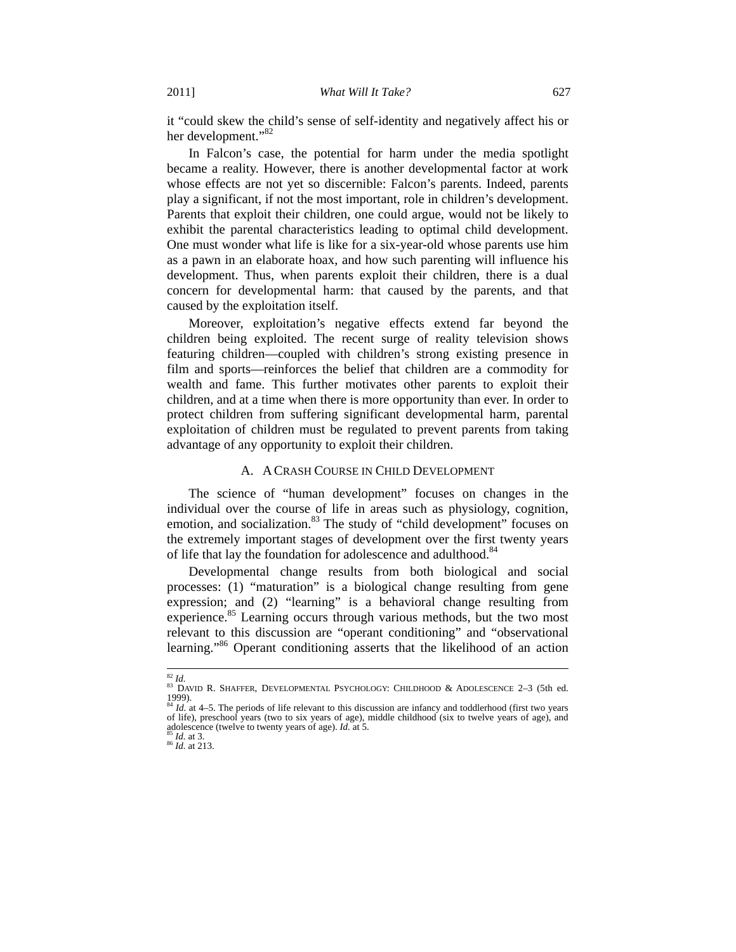it "could skew the child's sense of self-identity and negatively affect his or her development."<sup>82</sup>

In Falcon's case, the potential for harm under the media spotlight became a reality. However, there is another developmental factor at work whose effects are not yet so discernible: Falcon's parents. Indeed, parents play a significant, if not the most important, role in children's development. Parents that exploit their children, one could argue, would not be likely to exhibit the parental characteristics leading to optimal child development. One must wonder what life is like for a six-year-old whose parents use him as a pawn in an elaborate hoax, and how such parenting will influence his development. Thus, when parents exploit their children, there is a dual concern for developmental harm: that caused by the parents, and that caused by the exploitation itself.

Moreover, exploitation's negative effects extend far beyond the children being exploited. The recent surge of reality television shows featuring children—coupled with children's strong existing presence in film and sports—reinforces the belief that children are a commodity for wealth and fame. This further motivates other parents to exploit their children, and at a time when there is more opportunity than ever. In order to protect children from suffering significant developmental harm, parental exploitation of children must be regulated to prevent parents from taking advantage of any opportunity to exploit their children.

# A. A CRASH COURSE IN CHILD DEVELOPMENT

The science of "human development" focuses on changes in the individual over the course of life in areas such as physiology, cognition, emotion, and socialization.<sup>83</sup> The study of "child development" focuses on the extremely important stages of development over the first twenty years of life that lay the foundation for adolescence and adulthood.<sup>84</sup>

Developmental change results from both biological and social processes: (1) "maturation" is a biological change resulting from gene expression; and (2) "learning" is a behavioral change resulting from experience.<sup>85</sup> Learning occurs through various methods, but the two most relevant to this discussion are "operant conditioning" and "observational learning."<sup>86</sup> Operant conditioning asserts that the likelihood of an action

<sup>&</sup>lt;sup>82</sup> Id.<br><sup>83</sup> David R. Shaffer, Developmental Psychology: Childhood & Adolescence 2–3 (5th ed. 1999). 1999).<br><sup>84</sup> *Id.* at 4–5. The periods of life relevant to this discussion are infancy and toddlerhood (first two years) and<br><sup>84</sup> *Id.* at 4–5. The periods of life relevant to this discussion are infancy and toddlerhood (fi

of life), preschool years (two to six years of age), middle childhood (six to twelve years of age), and adolescence (twelve to twenty years of age). *Id.* at 5. <sup>85</sup> *Id.* at 3. <sup>86</sup> *Id.* at 213.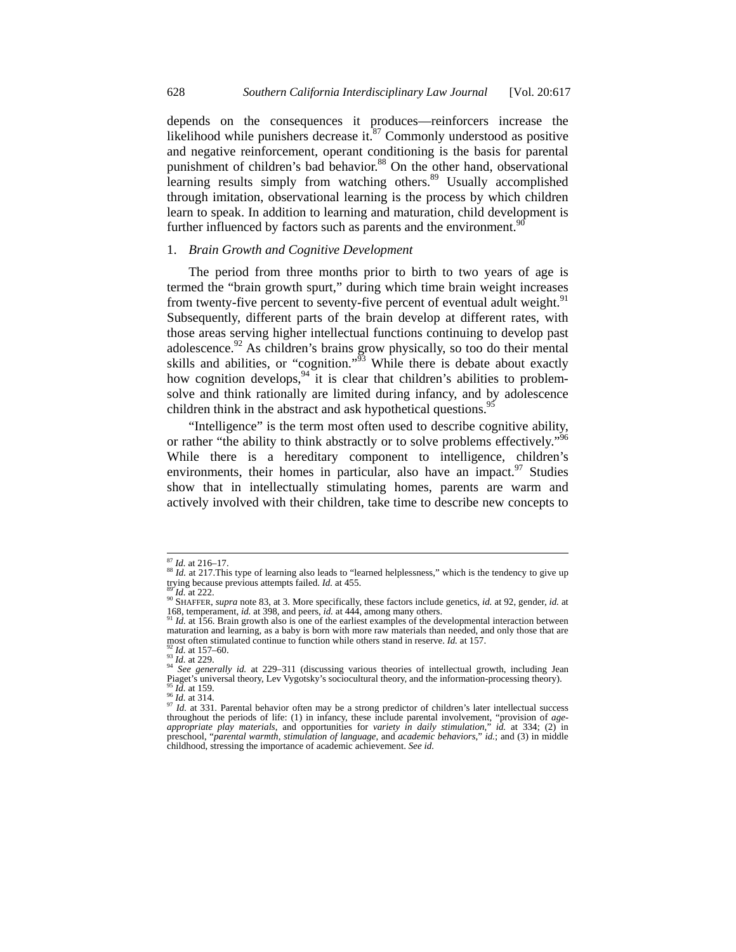depends on the consequences it produces—reinforcers increase the likelihood while punishers decrease it. $87$  Commonly understood as positive and negative reinforcement, operant conditioning is the basis for parental punishment of children's bad behavior.<sup>88</sup> On the other hand, observational learning results simply from watching others.<sup>89</sup> Usually accomplished through imitation, observational learning is the process by which children learn to speak. In addition to learning and maturation, child development is further influenced by factors such as parents and the environment.  $90$ 

# 1. *Brain Growth and Cognitive Development*

The period from three months prior to birth to two years of age is termed the "brain growth spurt," during which time brain weight increases from twenty-five percent to seventy-five percent of eventual adult weight.<sup>91</sup> Subsequently, different parts of the brain develop at different rates, with those areas serving higher intellectual functions continuing to develop past adolescence. $92$  As children's brains grow physically, so too do their mental skills and abilities, or "cognition."<sup> $53$ </sup> While there is debate about exactly how cognition develops,  $94$  it is clear that children's abilities to problemsolve and think rationally are limited during infancy, and by adolescence children think in the abstract and ask hypothetical questions.<sup>95</sup>

"Intelligence" is the term most often used to describe cognitive ability, or rather "the ability to think abstractly or to solve problems effectively."<sup>96</sup> While there is a hereditary component to intelligence, children's environments, their homes in particular, also have an impact. <sup>97</sup> Studies show that in intellectually stimulating homes, parents are warm and actively involved with their children, take time to describe new concepts to

<sup>&</sup>lt;sup>87</sup> *Id.* at 216–17.<br><sup>88</sup> *Id.* at 217. This type of learning also leads to "learned helplessness," which is the tendency to give up trying because previous attempts failed. *Id.* at 455.

<sup>&</sup>lt;sup>89</sup>*Id.* at 222. **If all 222.** 89 **Id.** at 3. More specifically, these factors include genetics, *id.* at 92, gender, *id.* at 98. 814. At 4.  $\frac{1}{2}$  at 4.4.  $\frac{1}{2}$  at 95.  $\frac{1}{2}$  at 92, gender, *id.* at 92, gender 168, temperament, *id.* at 398, and peers, *id.* at 444, among many others. <sup>91</sup> *Id.* at 156. Brain growth also is one of the earliest examples of the developmental interaction between

maturation and learning, as a baby is born with more raw materials than needed, and only those that are most often stimulated continue to function while others stand in reserve. *Id.* at 157.

<sup>&</sup>lt;sup>92</sup> *Id.* at 157–60.<br><sup>93</sup> *Id.* at 229.<br><sup>94</sup> *See generally id.* at 229–311 (discussing various theories of intellectual growth, including Jean<br>Piaget's universal theory, Lev Vygotsky's sociocultural theory, and the info Piaget's universal theory, Lev Vygotsky's sociocultural theory, and the information-processing theory).<br><sup>95</sup> *Id.* at 159.<br><sup>96</sup> *Id.* at 134.<br><sup>97</sup> *Id.* at 314. Parental behavior often may be a strong predictor of childre

*a appropriate play materials*, and opportunities for *variety in daily stimulation*," *id.* at 334; (2) in *appropriate play materials*, and opportunities for *variety in daily stimulation*," *id.* at 334; (2) in preschool, "*parental warmth*, *stimulation of language*, and *academic behaviors*," *id.*; and (3) in middle childhood, stressing the importance of academic achievement. *See id.*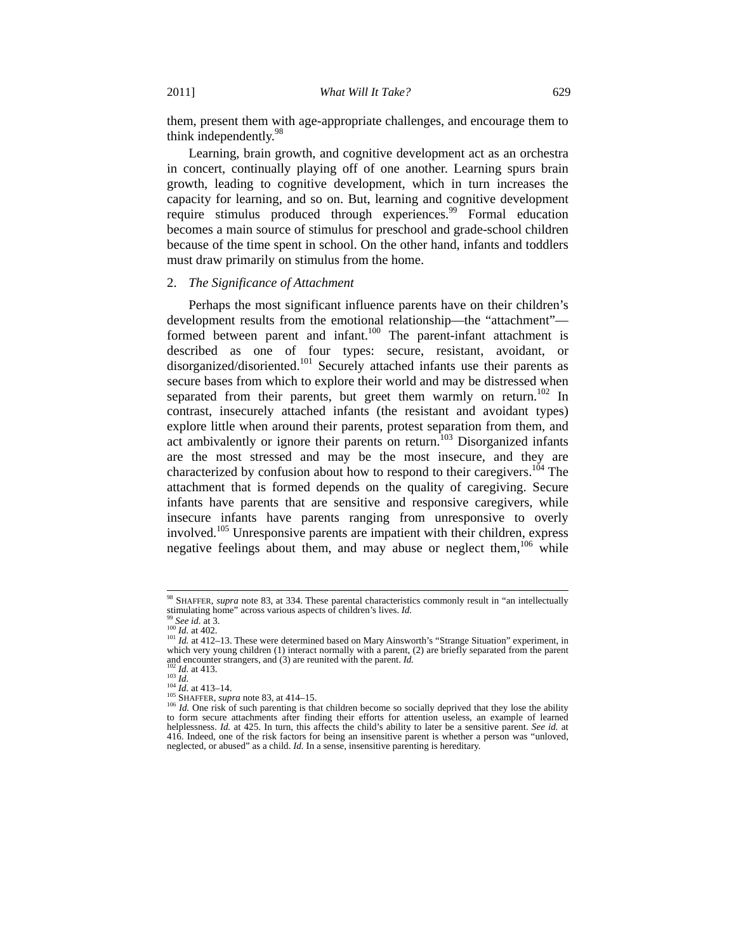them, present them with age-appropriate challenges, and encourage them to think independently.<sup>98</sup>

Learning, brain growth, and cognitive development act as an orchestra in concert, continually playing off of one another. Learning spurs brain growth, leading to cognitive development, which in turn increases the capacity for learning, and so on. But, learning and cognitive development require stimulus produced through experiences.<sup>99</sup> Formal education becomes a main source of stimulus for preschool and grade-school children because of the time spent in school. On the other hand, infants and toddlers must draw primarily on stimulus from the home.

#### 2. *The Significance of Attachment*

Perhaps the most significant influence parents have on their children's development results from the emotional relationship—the "attachment" formed between parent and infant.<sup>100</sup> The parent-infant attachment is described as one of four types: secure, resistant, avoidant, or disorganized/disoriented.<sup>101</sup> Securely attached infants use their parents as secure bases from which to explore their world and may be distressed when separated from their parents, but greet them warmly on return.<sup>102</sup> In contrast, insecurely attached infants (the resistant and avoidant types) explore little when around their parents, protest separation from them, and act ambivalently or ignore their parents on return.<sup>103</sup> Disorganized infants are the most stressed and may be the most insecure, and they are characterized by confusion about how to respond to their caregivers.<sup>104</sup> The attachment that is formed depends on the quality of caregiving. Secure infants have parents that are sensitive and responsive caregivers, while insecure infants have parents ranging from unresponsive to overly involved.105 Unresponsive parents are impatient with their children, express negative feelings about them, and may abuse or neglect them,  $106$  while

<sup>&</sup>lt;sup>98</sup> SHAFFER, *supra* note 83, at 334. These parental characteristics commonly result in "an intellectually stimulating home" across various aspects of children's lives. *Id*.

<sup>&</sup>lt;sup>99</sup> See id. at 3.<br><sup>100</sup> Id. at 402.<br><sup>100</sup> Id. at 412–13. These were determined based on Mary Ainsworth's "Strange Situation" experiment, in which very young children (1) interact normally with a parent, (2) are briefly separated from the parent and encounter strangers, and (3) are reunited with the parent.  $Id$ .

and encounter strangers, and (3) are retained with the placing con-<br>  $\frac{102}{103}$  Id. at 413.<br>  $\frac{104}{104}$  Id. at 413–14.<br>  $\frac{104}{104}$  Id. at 413–14.<br>  $\frac{104}{104}$  Id. at 413–14.<br>  $\frac{104}{104}$  Id. One risk of such to form secure attachments after finding their efforts for attention useless, an example of learned helplessness. *Id.* at 425. In turn, this affects the child's ability to later be a sensitive parent. *See id.* at 416. Indeed, one of the risk factors for being an insensitive parent is whether a person was "unloved, neglected, or abused" as a child. *Id.* In a sense, insensitive parenting is hereditary.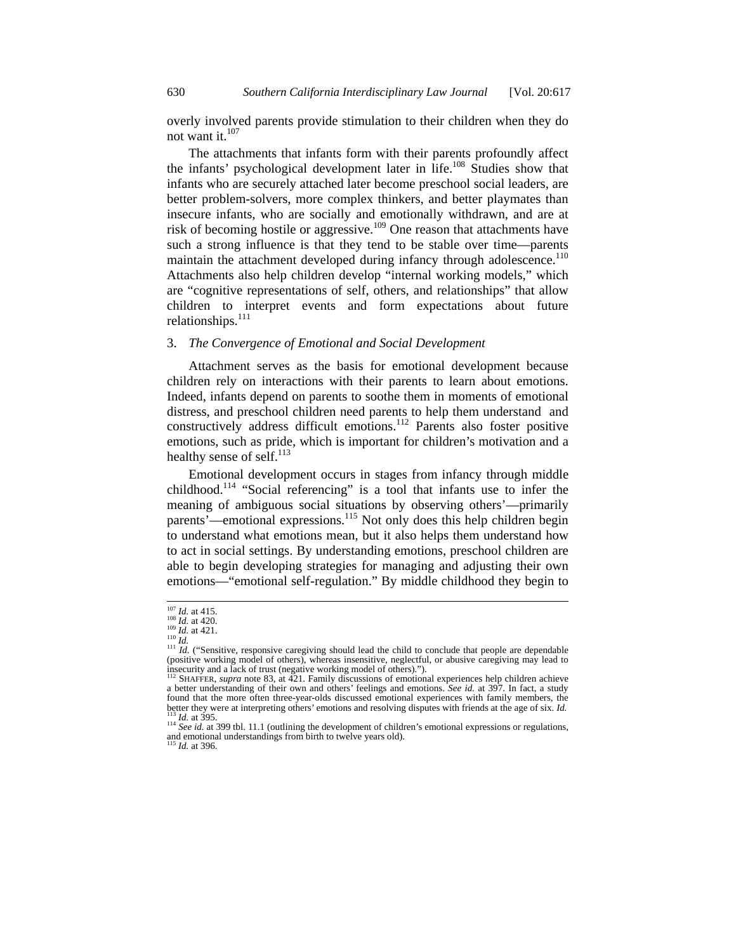overly involved parents provide stimulation to their children when they do not want it.<sup>107</sup>

The attachments that infants form with their parents profoundly affect the infants' psychological development later in life.<sup>108</sup> Studies show that infants who are securely attached later become preschool social leaders, are better problem-solvers, more complex thinkers, and better playmates than insecure infants, who are socially and emotionally withdrawn, and are at risk of becoming hostile or aggressive.109 One reason that attachments have such a strong influence is that they tend to be stable over time—parents maintain the attachment developed during infancy through adolescence.<sup>110</sup> Attachments also help children develop "internal working models," which are "cognitive representations of self, others, and relationships" that allow children to interpret events and form expectations about future relationships.<sup>111</sup>

## 3. *The Convergence of Emotional and Social Development*

Attachment serves as the basis for emotional development because children rely on interactions with their parents to learn about emotions. Indeed, infants depend on parents to soothe them in moments of emotional distress, and preschool children need parents to help them understand and constructively address difficult emotions.<sup>112</sup> Parents also foster positive emotions, such as pride, which is important for children's motivation and a healthy sense of self.<sup>113</sup>

Emotional development occurs in stages from infancy through middle childhood.114 "Social referencing" is a tool that infants use to infer the meaning of ambiguous social situations by observing others'—primarily parents'—emotional expressions.115 Not only does this help children begin to understand what emotions mean, but it also helps them understand how to act in social settings. By understanding emotions, preschool children are able to begin developing strategies for managing and adjusting their own emotions—"emotional self-regulation." By middle childhood they begin to

<sup>&</sup>lt;sup>107</sup> *Id.* at 415.<br><sup>109</sup> *Id.* at 420.<br><sup>109</sup> *Id.* at 421.<br><sup>111</sup> *Id.* ("Sensitive, responsive caregiving should lead the child to conclude that people are dependable<br><sup>111</sup> *Id.* ("Sensitive, responsive caregiving should (positive working model of others), whereas insensitive, neglectful, or abusive caregiving may lead to insecurity and a lack of trust (negative working model of others).").

insecurity and a lack of trust (negative working model of others).").<br><sup>112</sup> SHAFFER, *supra* note 83, at 421. Family discussions of emotional experiences help children achieve<br>a better understanding of their own and others found that the more often three-year-olds discussed emotional experiences with family members, the better they were at interpreting others' emotions and resolving disputes with friends at the age of six. *Id*.

<sup>&</sup>lt;sup>113</sup> *Id.* at 395.<br><sup>114</sup> See id. at 399 tbl. 11.1 (outlining the development of children's emotional expressions or regulations, and emotional understandings from birth to twelve years old).<br><sup>115</sup> *Id.* at 396.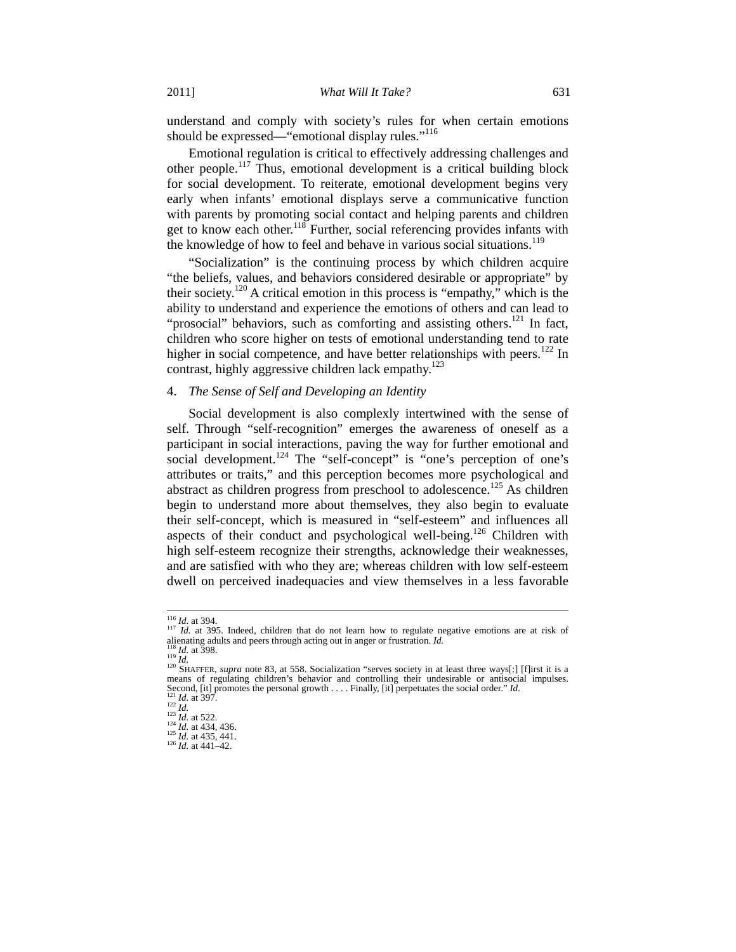understand and comply with society's rules for when certain emotions should be expressed—"emotional display rules."<sup>116</sup>

Emotional regulation is critical to effectively addressing challenges and other people.117 Thus, emotional development is a critical building block for social development. To reiterate, emotional development begins very early when infants' emotional displays serve a communicative function with parents by promoting social contact and helping parents and children get to know each other.<sup>118</sup> Further, social referencing provides infants with the knowledge of how to feel and behave in various social situations.<sup>119</sup>

"Socialization" is the continuing process by which children acquire "the beliefs, values, and behaviors considered desirable or appropriate" by their society.<sup>120</sup> A critical emotion in this process is "empathy," which is the ability to understand and experience the emotions of others and can lead to "prosocial" behaviors, such as comforting and assisting others.<sup>121</sup> In fact, children who score higher on tests of emotional understanding tend to rate higher in social competence, and have better relationships with peers.<sup>122</sup> In contrast, highly aggressive children lack empathy. $123$ 

# 4. *The Sense of Self and Developing an Identity*

Social development is also complexly intertwined with the sense of self. Through "self-recognition" emerges the awareness of oneself as a participant in social interactions, paving the way for further emotional and social development.<sup>124</sup> The "self-concept" is "one's perception of one's attributes or traits," and this perception becomes more psychological and abstract as children progress from preschool to adolescence.<sup>125</sup> As children begin to understand more about themselves, they also begin to evaluate their self-concept, which is measured in "self-esteem" and influences all aspects of their conduct and psychological well-being.<sup>126</sup> Children with high self-esteem recognize their strengths, acknowledge their weaknesses, and are satisfied with who they are; whereas children with low self-esteem dwell on perceived inadequacies and view themselves in a less favorable

<sup>116</sup> *Id.* at 394.<br><sup>116</sup> *Id.* at 395. Indeed, children that do not learn how to regulate negative emotions are at risk of alienating adults and peers through acting out in anger or frustration. *Id.*<br><sup>118</sup> *Id.* at 398.<br><sup>119</sup> *Id.*<br><sup>120</sup> SHAFFER, *supra* note 83, at 558. Socialization "serves society in at least three ways[:] [f]irst it is a

 $\frac{100}{120}$  SHAFFER, *supra* note 83, at 558. Socialization "serves society in at least three ways[:] [f]irst it is a means of regulating children's behavior and controlling their undesirable or antisocial impulses. Second, [it] promotes the personal growth .... Finally, [it] perpetuates the social order." Id.<br>
<sup>121</sup> Id. at 397.<br>
<sup>122</sup> Id. at 439.<br>
<sup>122</sup> Id. at 434, 436.<br>
<sup>123</sup> Id. at 443, 436.<br>
<sup>124</sup> Id. at 443, 436.<br>
<sup>124</sup> Id. at 4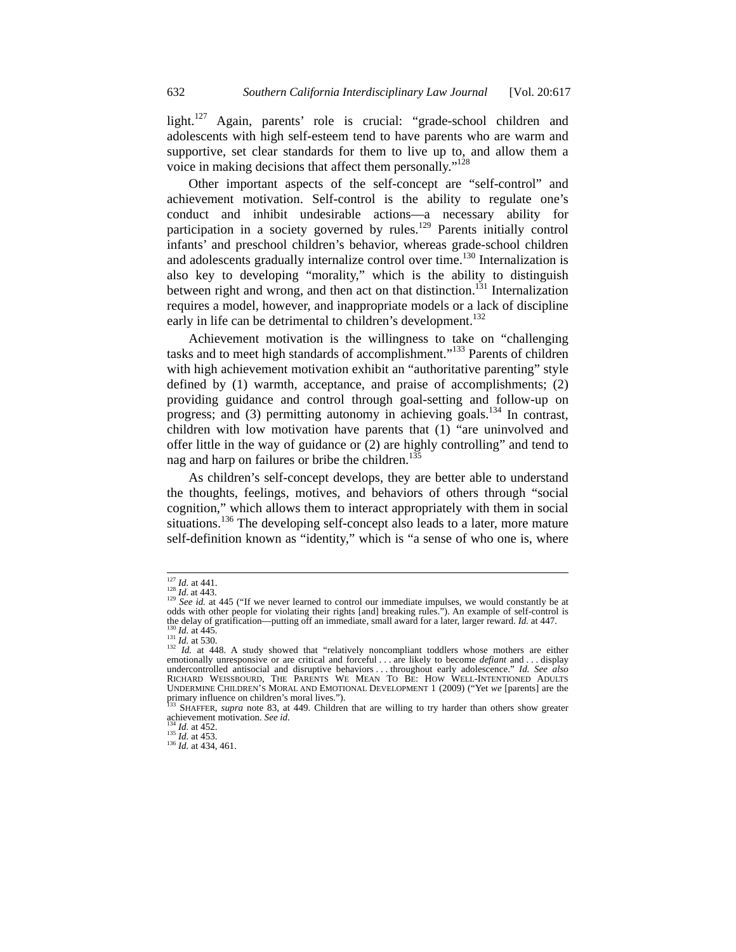light.<sup>127</sup> Again, parents' role is crucial: "grade-school children and adolescents with high self-esteem tend to have parents who are warm and supportive, set clear standards for them to live up to, and allow them a voice in making decisions that affect them personally."128

Other important aspects of the self-concept are "self-control" and achievement motivation. Self-control is the ability to regulate one's conduct and inhibit undesirable actions—a necessary ability for participation in a society governed by rules.<sup>129</sup> Parents initially control infants' and preschool children's behavior, whereas grade-school children and adolescents gradually internalize control over time.<sup>130</sup> Internalization is also key to developing "morality," which is the ability to distinguish between right and wrong, and then act on that distinction.<sup>131</sup> Internalization requires a model, however, and inappropriate models or a lack of discipline early in life can be detrimental to children's development.<sup>132</sup>

Achievement motivation is the willingness to take on "challenging tasks and to meet high standards of accomplishment."133 Parents of children with high achievement motivation exhibit an "authoritative parenting" style defined by (1) warmth, acceptance, and praise of accomplishments; (2) providing guidance and control through goal-setting and follow-up on progress; and  $(3)$  permitting autonomy in achieving goals.<sup>134</sup> In contrast, children with low motivation have parents that (1) "are uninvolved and offer little in the way of guidance or (2) are highly controlling" and tend to nag and harp on failures or bribe the children.<sup>135</sup>

As children's self-concept develops, they are better able to understand the thoughts, feelings, motives, and behaviors of others through "social cognition," which allows them to interact appropriately with them in social situations.<sup>136</sup> The developing self-concept also leads to a later, more mature self-definition known as "identity," which is "a sense of who one is, where

<sup>&</sup>lt;sup>127</sup> *Id.* at 441.<br><sup>128</sup> *Id.* at 443.<br><sup>129</sup> *See id.* at 445 ("If we never learned to control our immediate impulses, we would constantly be at odds with other people for violating their rights [and] breaking rules."). An example of self-control is

the delay of gratification—putting off an immediate, small award for a later, larger reward. *Id.* at 447.<br><sup>130</sup> *Id.* at 530.<br><sup>131</sup> *Id.* at 530.<br><sup>132</sup> *Id.* at 448. A study showed that "relatively noncompliant toddlers undercontrolled antisocial and disruptive behaviors . . . throughout early adolescence." *Id. See also* RICHARD WEISSBOURD, THE PARENTS WE MEAN TO BE: HOW WELL-INTENTIONED ADULTS UNDERMINE CHILDREN'S MORAL AND EMOTIONAL DEVELOPMENT 1 (2009) ("Yet *we* [parents] are the primary influence on children's moral lives.").

<sup>&</sup>lt;sup>133</sup> SHAFFER, *supra* note 83, at 449. Children that are willing to try harder than others show greater achievement motivation. See id.

<sup>134</sup> *Id.* at 452.<br><sup>135</sup> *Id.* at 453.<br><sup>136</sup> *Id.* at 434, 461.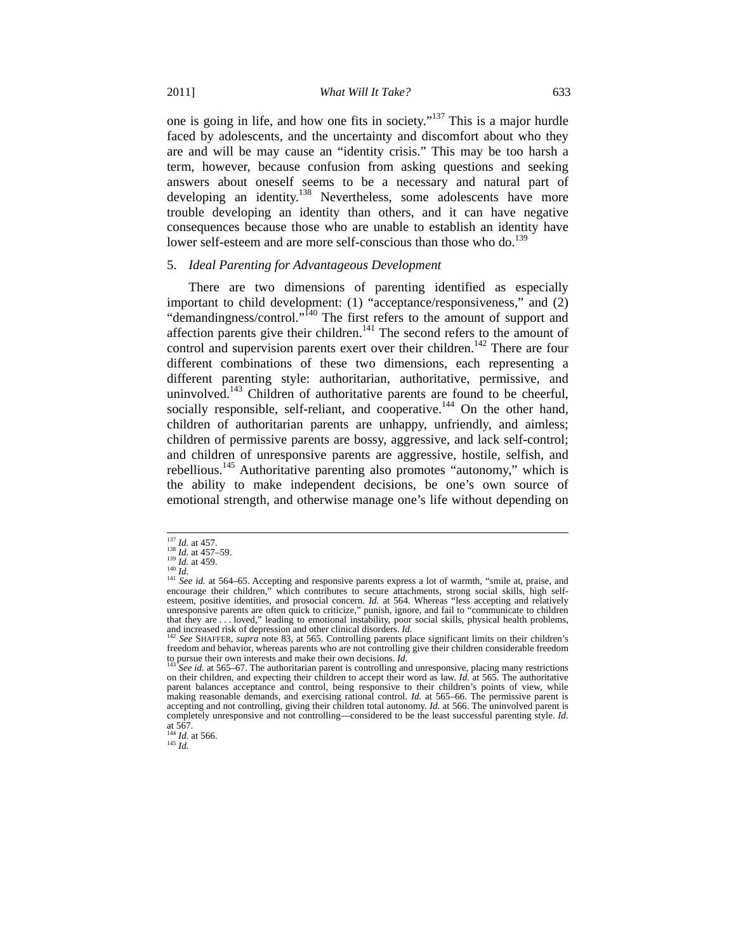one is going in life, and how one fits in society."137 This is a major hurdle faced by adolescents, and the uncertainty and discomfort about who they are and will be may cause an "identity crisis." This may be too harsh a term, however, because confusion from asking questions and seeking answers about oneself seems to be a necessary and natural part of developing an identity.<sup>138</sup> Nevertheless, some adolescents have more trouble developing an identity than others, and it can have negative consequences because those who are unable to establish an identity have lower self-esteem and are more self-conscious than those who do.<sup>139</sup>

#### 5. *Ideal Parenting for Advantageous Development*

There are two dimensions of parenting identified as especially important to child development: (1) "acceptance/responsiveness," and (2) "demandingness/control."<sup>140</sup> The first refers to the amount of support and affection parents give their children.<sup>141</sup> The second refers to the amount of control and supervision parents exert over their children.<sup>142</sup> There are four different combinations of these two dimensions, each representing a different parenting style: authoritarian, authoritative, permissive, and uninvolved.<sup>143</sup> Children of authoritative parents are found to be cheerful, socially responsible, self-reliant, and cooperative.<sup>144</sup> On the other hand, children of authoritarian parents are unhappy, unfriendly, and aimless; children of permissive parents are bossy, aggressive, and lack self-control; and children of unresponsive parents are aggressive, hostile, selfish, and rebellious.145 Authoritative parenting also promotes "autonomy," which is the ability to make independent decisions, be one's own source of emotional strength, and otherwise manage one's life without depending on

<sup>&</sup>lt;sup>137</sup> *Id.* at 457.<br><sup>138</sup> *Id.* at 457–59.<br><sup>140</sup> *Id.* at 459.<br><sup>141</sup> *See id.* at 564–65. Accepting and responsive parents express a lot of warmth, "smile at, praise, and encourage their children," which contributes to secure attachments, strong social skills, high self-<br>esteem, positive identities, and prosocial concern. *Id.* at 564. Whereas "less accepting and relatively unresponsive parents are often quick to criticize," punish, ignore, and fail to "communicate to children that they are . . . loved," leading to emotional instability, poor social skills, physical health problems, and increased risk of depression and other clinical disorders. *Id.* <sup>142</sup> *See* SHAFFER, *supra* note 83, at 565. Controlling parents place significant limits on their children's

freedom and behavior, whereas parents who are not controlling give their children considerable freedom to pursue their controlling freedom. It is  $I_{13}$  controlling from the state of  $\pi$ .

to pursue their own interests and make their own decisions. *Id.* <sup>143</sup> *See id.* at 565–67. The authoritarian parent is controlling and unresponsive, placing many restrictions on their children, and expecting their children to accept their word as law. *Id.* at 565. The authoritative parent balances acceptance and control, being responsive to their children's points of view, while making reasonable demands, and exercising rational control. *Id.* at 565–66. The permissive parent is accepting and not controlling, giving their children total autonomy. *Id.* at 566. The uninvolved parent is completely unresponsive and not controlling—considered to be the least successful parenting style. *Id.* 

at 567. <sup>144</sup> *Id.* at 566. 145 *Id.*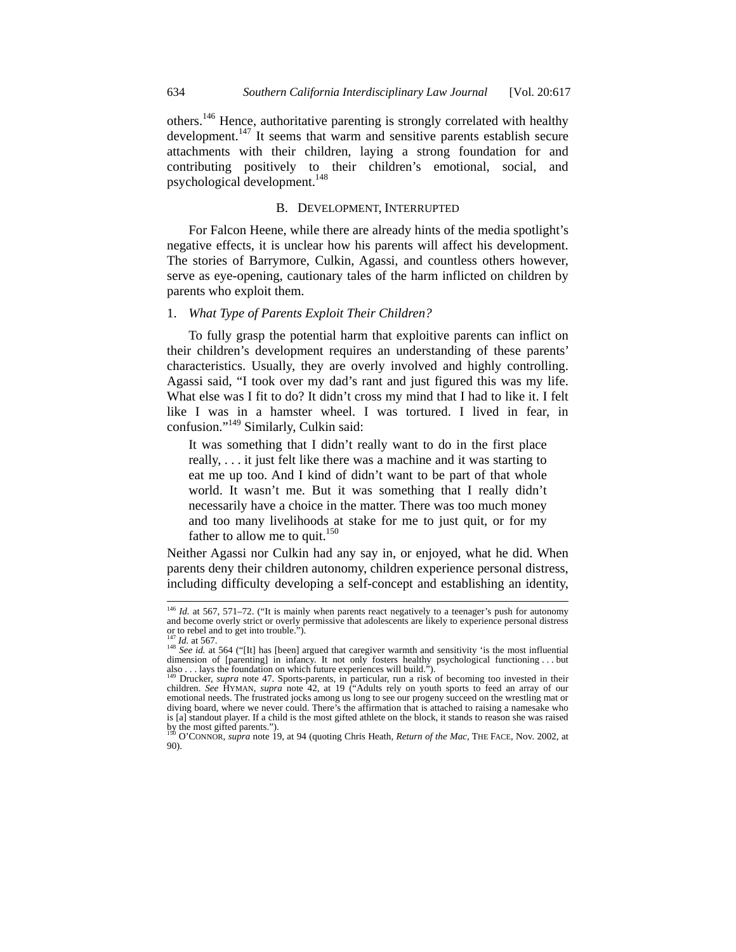others.146 Hence, authoritative parenting is strongly correlated with healthy development. $147$  It seems that warm and sensitive parents establish secure attachments with their children, laying a strong foundation for and contributing positively to their children's emotional, social, and psychological development.<sup>148</sup>

#### B. DEVELOPMENT, INTERRUPTED

For Falcon Heene, while there are already hints of the media spotlight's negative effects, it is unclear how his parents will affect his development. The stories of Barrymore, Culkin, Agassi, and countless others however, serve as eye-opening, cautionary tales of the harm inflicted on children by parents who exploit them.

#### 1. *What Type of Parents Exploit Their Children?*

To fully grasp the potential harm that exploitive parents can inflict on their children's development requires an understanding of these parents' characteristics. Usually, they are overly involved and highly controlling. Agassi said, "I took over my dad's rant and just figured this was my life. What else was I fit to do? It didn't cross my mind that I had to like it. I felt like I was in a hamster wheel. I was tortured. I lived in fear, in confusion."<sup>149</sup> Similarly, Culkin said:

It was something that I didn't really want to do in the first place really, . . . it just felt like there was a machine and it was starting to eat me up too. And I kind of didn't want to be part of that whole world. It wasn't me. But it was something that I really didn't necessarily have a choice in the matter. There was too much money and too many livelihoods at stake for me to just quit, or for my father to allow me to quit.<sup>150</sup>

Neither Agassi nor Culkin had any say in, or enjoyed, what he did. When parents deny their children autonomy, children experience personal distress, including difficulty developing a self-concept and establishing an identity,

<sup>&</sup>lt;sup>146</sup> *Id.* at 567, 571-72. ("It is mainly when parents react negatively to a teenager's push for autonomy and become overly strict or overly permissive that adolescents are likely to experience personal distress<br>or to rebel and to get into trouble.").<br><sup>147</sup> *Id.* at 567.<br><sup>148</sup> *See id.* at 564 ("[It] has [been] argued that car

dimension of [parenting] in infancy. It not only fosters healthy psychological functioning . . . but also . . . lays the foundation on which future experiences will build.").

also . . . lays the foundation on which future experiences will build.").<br><sup>149</sup> Drucker, *supra* note 47. Sports-parents, in particular, run a risk of becoming too invested in their<br>children. *See* HYMAN, *supra* note 42, emotional needs. The frustrated jocks among us long to see our progeny succeed on the wrestling mat or diving board, where we never could. There's the affirmation that is attached to raising a namesake who is [a] standout player. If a child is the most gifted athlete on the block, it stands to reason she was raised by the most gifted parents."). 150 O'CONNOR, *supra* note 19, at 94 (quoting Chris Heath, *Return of the Mac*, THE FACE, Nov. 2002, at

<sup>90).</sup>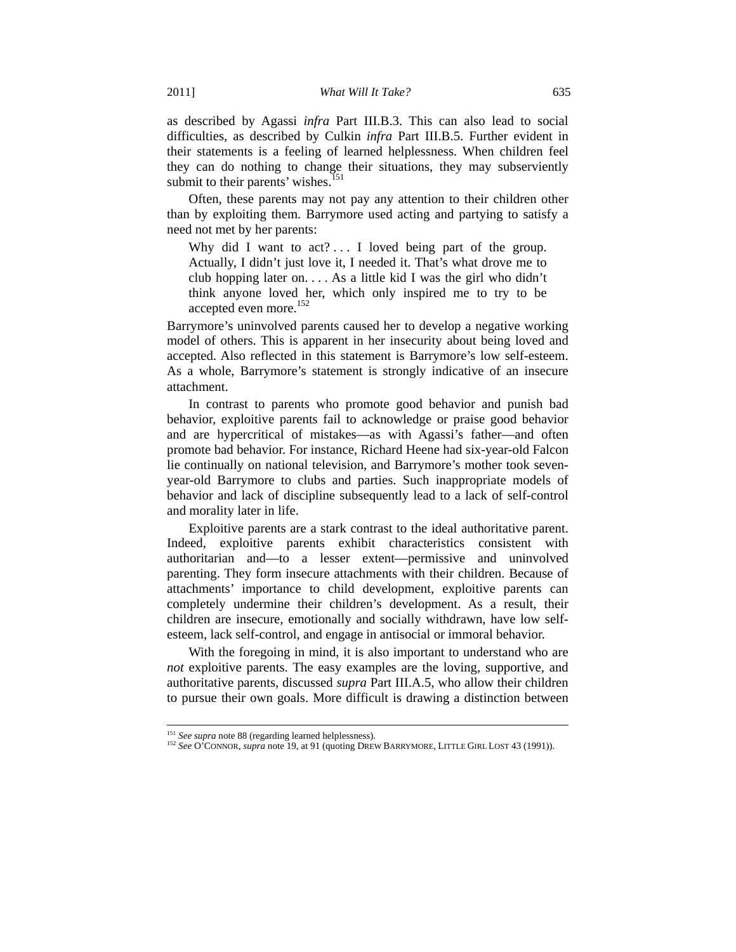as described by Agassi *infra* Part III.B.3. This can also lead to social difficulties, as described by Culkin *infra* Part III.B.5. Further evident in their statements is a feeling of learned helplessness. When children feel they can do nothing to change their situations, they may subserviently submit to their parents' wishes.<sup>151</sup>

Often, these parents may not pay any attention to their children other than by exploiting them. Barrymore used acting and partying to satisfy a need not met by her parents:

Why did I want to  $act? \ldots$  I loved being part of the group. Actually, I didn't just love it, I needed it. That's what drove me to club hopping later on. . . . As a little kid I was the girl who didn't think anyone loved her, which only inspired me to try to be accepted even more.<sup>152</sup>

Barrymore's uninvolved parents caused her to develop a negative working model of others. This is apparent in her insecurity about being loved and accepted. Also reflected in this statement is Barrymore's low self-esteem. As a whole, Barrymore's statement is strongly indicative of an insecure attachment.

In contrast to parents who promote good behavior and punish bad behavior, exploitive parents fail to acknowledge or praise good behavior and are hypercritical of mistakes—as with Agassi's father—and often promote bad behavior. For instance, Richard Heene had six-year-old Falcon lie continually on national television, and Barrymore's mother took sevenyear-old Barrymore to clubs and parties. Such inappropriate models of behavior and lack of discipline subsequently lead to a lack of self-control and morality later in life.

Exploitive parents are a stark contrast to the ideal authoritative parent. Indeed, exploitive parents exhibit characteristics consistent with authoritarian and—to a lesser extent—permissive and uninvolved parenting. They form insecure attachments with their children. Because of attachments' importance to child development, exploitive parents can completely undermine their children's development. As a result, their children are insecure, emotionally and socially withdrawn, have low selfesteem, lack self-control, and engage in antisocial or immoral behavior.

With the foregoing in mind, it is also important to understand who are *not* exploitive parents. The easy examples are the loving, supportive, and authoritative parents, discussed *supra* Part III.A.5, who allow their children to pursue their own goals. More difficult is drawing a distinction between

<sup>&</sup>lt;sup>151</sup> *See supra* note 88 (regarding learned helplessness).<br><sup>152</sup> *See* O'CONNOR, *supra* note 19, at 91 (quoting DREW BARRYMORE, LITTLE GIRL LOST 43 (1991)).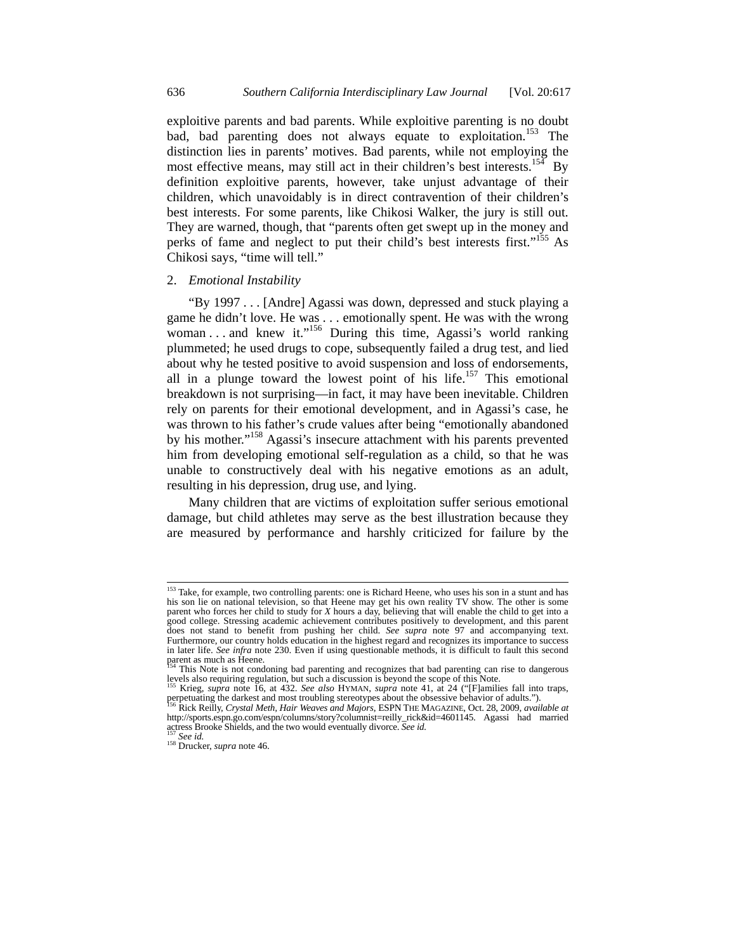exploitive parents and bad parents. While exploitive parenting is no doubt bad, bad parenting does not always equate to exploitation.<sup>153</sup> The distinction lies in parents' motives. Bad parents, while not employing the most effective means, may still act in their children's best interests.<sup>154</sup> By definition exploitive parents, however, take unjust advantage of their children, which unavoidably is in direct contravention of their children's best interests. For some parents, like Chikosi Walker, the jury is still out. They are warned, though, that "parents often get swept up in the money and perks of fame and neglect to put their child's best interests first."<sup>155</sup> As Chikosi says, "time will tell."

#### 2. *Emotional Instability*

"By 1997 . . . [Andre] Agassi was down, depressed and stuck playing a game he didn't love. He was . . . emotionally spent. He was with the wrong woman . . . and knew it."<sup>156</sup> During this time. Agassi's world ranking plummeted; he used drugs to cope, subsequently failed a drug test, and lied about why he tested positive to avoid suspension and loss of endorsements, all in a plunge toward the lowest point of his life.<sup>157</sup> This emotional breakdown is not surprising—in fact, it may have been inevitable. Children rely on parents for their emotional development, and in Agassi's case, he was thrown to his father's crude values after being "emotionally abandoned by his mother."<sup>158</sup> Agassi's insecure attachment with his parents prevented him from developing emotional self-regulation as a child, so that he was unable to constructively deal with his negative emotions as an adult, resulting in his depression, drug use, and lying.

Many children that are victims of exploitation suffer serious emotional damage, but child athletes may serve as the best illustration because they are measured by performance and harshly criticized for failure by the

<sup>&</sup>lt;sup>153</sup> Take, for example, two controlling parents: one is Richard Heene, who uses his son in a stunt and has his son lie on national television, so that Heene may get his own reality TV show. The other is some parent who forces her child to study for *X* hours a day, believing that will enable the child to get into a good college. Stressing academic achievement contributes positively to development, and this parent does not stand to benefit from pushing her child. *See supra* note 97 and accompanying text. Furthermore, our country holds education in the highest regard and recognizes its importance to success in later life. *See infra* note 230. Even if using questionable methods, it is difficult to fault this second parent as much as Heene.<br><sup>154</sup> This Note is not condoning bad parenting and recognizes that bad parenting can rise to dangerous

levels also requiring regulation, but such a discussion is beyond the scope of this Note. 155 Krieg, *supra* note 16, at 432. *See also* HYMAN, *supra* note 41, at 24 ("[F]amilies fall into traps,

perpetuating the darkest and most troubling stereotypes about the obsessive behavior of adults."). 156 Rick Reilly, *Crystal Meth, Hair Weaves and Majors*, ESPN THE MAGAZINE, Oct. 28, 2009, *available at*

http://sports.espn.go.com/espn/columns/story?columnist=reilly\_rick&id=4601145. Agassi had married actress Brooke Shields, and the two would eventually divorce. *See id.* <sup>157</sup> *See id.* <sup>158</sup> Drucker, *supra* note 46.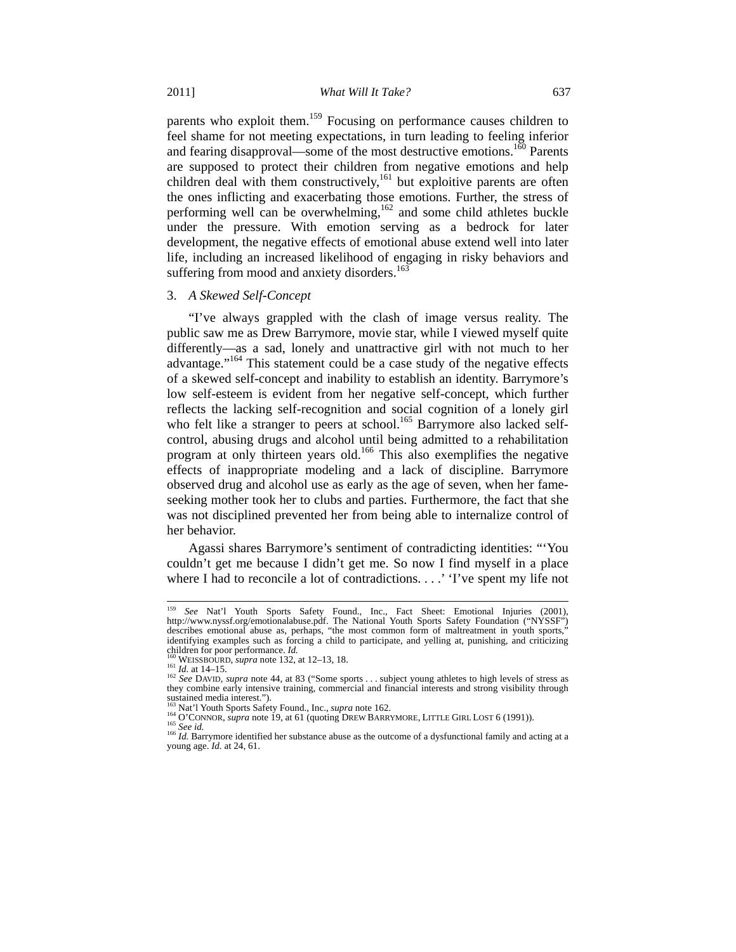parents who exploit them.<sup>159</sup> Focusing on performance causes children to feel shame for not meeting expectations, in turn leading to feeling inferior and fearing disapproval—some of the most destructive emotions.<sup>160</sup> Parents are supposed to protect their children from negative emotions and help children deal with them constructively,<sup>161</sup> but exploitive parents are often the ones inflicting and exacerbating those emotions. Further, the stress of performing well can be overwhelming,<sup>162</sup> and some child athletes buckle under the pressure. With emotion serving as a bedrock for later development, the negative effects of emotional abuse extend well into later life, including an increased likelihood of engaging in risky behaviors and suffering from mood and anxiety disorders.<sup>163</sup>

#### 3. *A Skewed Self-Concept*

"I've always grappled with the clash of image versus reality. The public saw me as Drew Barrymore, movie star, while I viewed myself quite differently—as a sad, lonely and unattractive girl with not much to her advantage."164 This statement could be a case study of the negative effects of a skewed self-concept and inability to establish an identity. Barrymore's low self-esteem is evident from her negative self-concept, which further reflects the lacking self-recognition and social cognition of a lonely girl who felt like a stranger to peers at school.<sup>165</sup> Barrymore also lacked selfcontrol, abusing drugs and alcohol until being admitted to a rehabilitation program at only thirteen years old.166 This also exemplifies the negative effects of inappropriate modeling and a lack of discipline. Barrymore observed drug and alcohol use as early as the age of seven, when her fameseeking mother took her to clubs and parties. Furthermore, the fact that she was not disciplined prevented her from being able to internalize control of her behavior.

Agassi shares Barrymore's sentiment of contradicting identities: "'You couldn't get me because I didn't get me. So now I find myself in a place where I had to reconcile a lot of contradictions. . . .' 'I've spent my life not

 <sup>159</sup> *See* Nat'l Youth Sports Safety Found., Inc., Fact Sheet: Emotional Injuries (2001), http://www.nyssf.org/emotionalabuse.pdf. The National Youth Sports Safety Foundation ("NYSSF") describes emotional abuse as, perhaps, "the most common form of maltreatment in youth sports," identifying examples such as forcing a child to participate, and yelling at, punishing, and criticizing children for poor performance. *Id.* 

<sup>&</sup>lt;sup>160</sup> WEISSBOURD, *supra* note 132, at 12–13, 18.<br><sup>161</sup> *Id.* at 14–15.<br><sup>162</sup> *See* DAVID, *supra* note 44, at 83 ("Some sports . . . subject young athletes to high levels of stress as they combine early intensive training, commercial and financial interests and strong visibility through sustained media interest.").<br><sup>163</sup> Nat'l Youth Sports Safety Found., Inc., *supra* note 162.

<sup>&</sup>lt;sup>164</sup> O'CONNOR, *supra* note 19, at 61 (quoting DREW BARRYMORE, LITTLE GIRL LOST 6 (1991)).<br><sup>165</sup> See id.<br><sup>165</sup> See id.<br><sup>166</sup> Id. Barrymore identified her substance abuse as the outcome of a dysfunctional family and actin

young age. *Id.* at 24, 61.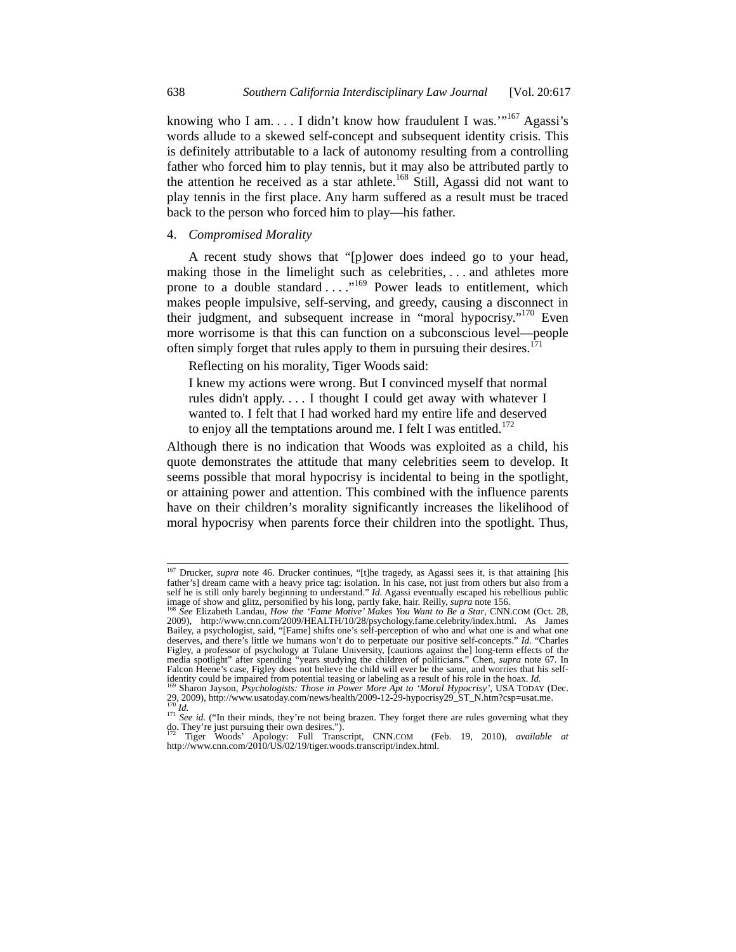knowing who I am.  $\dots$  I didn't know how fraudulent I was."<sup>167</sup> Agassi's words allude to a skewed self-concept and subsequent identity crisis. This is definitely attributable to a lack of autonomy resulting from a controlling father who forced him to play tennis, but it may also be attributed partly to the attention he received as a star athlete.168 Still, Agassi did not want to play tennis in the first place. Any harm suffered as a result must be traced back to the person who forced him to play—his father.

#### 4. *Compromised Morality*

A recent study shows that "[p]ower does indeed go to your head, making those in the limelight such as celebrities, . . . and athletes more prone to a double standard . . . . "<sup>169</sup> Power leads to entitlement, which makes people impulsive, self-serving, and greedy, causing a disconnect in their judgment, and subsequent increase in "moral hypocrisy."<sup>170</sup> Even more worrisome is that this can function on a subconscious level—people often simply forget that rules apply to them in pursuing their desires.<sup>171</sup>

Reflecting on his morality, Tiger Woods said:

I knew my actions were wrong. But I convinced myself that normal rules didn't apply. . . . I thought I could get away with whatever I wanted to. I felt that I had worked hard my entire life and deserved to enjoy all the temptations around me. I felt I was entitled. $172$ 

Although there is no indication that Woods was exploited as a child, his quote demonstrates the attitude that many celebrities seem to develop. It seems possible that moral hypocrisy is incidental to being in the spotlight, or attaining power and attention. This combined with the influence parents have on their children's morality significantly increases the likelihood of moral hypocrisy when parents force their children into the spotlight. Thus,

<sup>&</sup>lt;sup>167</sup> Drucker, *supra* note 46. Drucker continues, "[t]he tragedy, as Agassi sees it, is that attaining [his father's] dream came with a heavy price tag: isolation. In his case, not just from others but also from a self he is still only barely beginning to understand." *Id.* Agassi eventually escaped his rebellious public image of show and glitz, personified by his long, partly fake, hair. Reilly, *supra* note 156.<br><sup>168</sup> See Elizabet

<sup>2009),</sup> http://www.cnn.com/2009/HEALTH/10/28/psychology.fame.celebrity/index.html. As James Bailey, a psychologist, said, "[Fame] shifts one's self-perception of who and what one is and what one deserves, and there's little we humans won't do to perpetuate our positive self-concepts." *Id.* "Charles Figley, a professor of psychology at Tulane University, [cautions against the] long-term effects of the media spotlight" after spending "years studying the children of politicians." Chen, *supra* note 67. In Falcon Heene's case, Figley does not believe the child will ever be the same, and worries that his selfidentity could be impaired from potential teasing or labeling as a result of his role in the hoax. *Id.* 169 Sharon Jayson, *Psychologists: Those in Power More Apt to 'Moral Hypocrisy'*, USA TODAY (Dec.

<sup>29, 2009),</sup> http://www.usatoday.com/news/health/2009-12-29-hypocrisy29\_ST\_N.htm?csp=usat.me. <sup>170</sup> *Id.* 171 *See id.* ("In their minds, they're not being brazen. They forget there are rules governing what they in their min

do. They're just pursuing their own desires.").

<sup>172</sup> Tiger Woods' Apology: Full Transcript, CNN.COM (Feb. 19, 2010), *available at* http://www.cnn.com/2010/US/02/19/tiger.woods.transcript/index.html.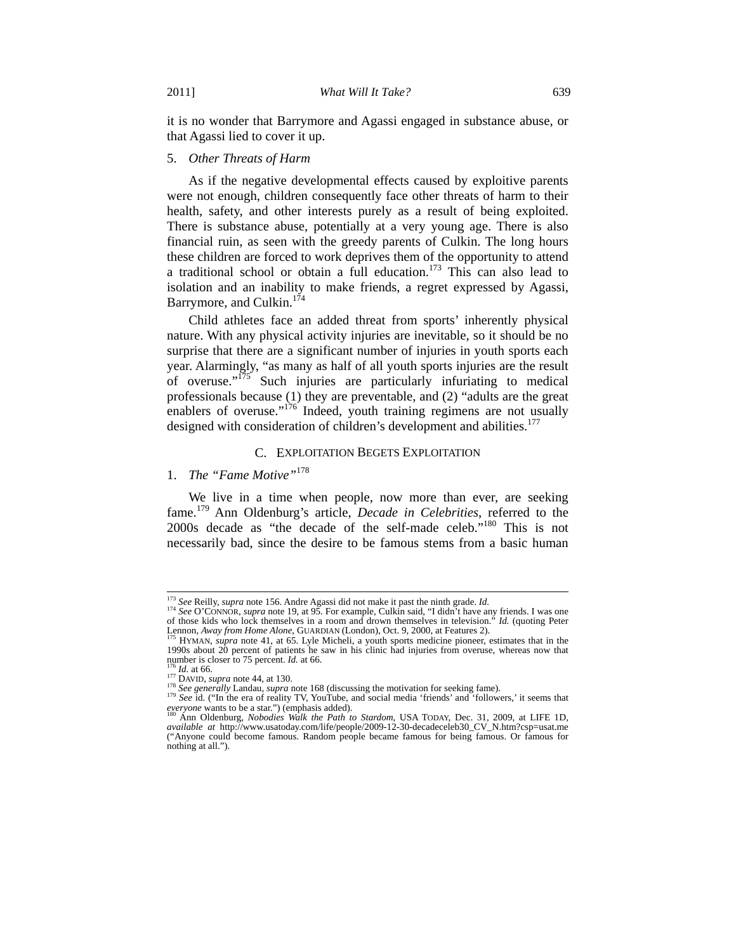it is no wonder that Barrymore and Agassi engaged in substance abuse, or that Agassi lied to cover it up.

#### 5. *Other Threats of Harm*

As if the negative developmental effects caused by exploitive parents were not enough, children consequently face other threats of harm to their health, safety, and other interests purely as a result of being exploited. There is substance abuse, potentially at a very young age. There is also financial ruin, as seen with the greedy parents of Culkin. The long hours these children are forced to work deprives them of the opportunity to attend a traditional school or obtain a full education.173 This can also lead to isolation and an inability to make friends, a regret expressed by Agassi, Barrymore, and Culkin.<sup>174</sup>

Child athletes face an added threat from sports' inherently physical nature. With any physical activity injuries are inevitable, so it should be no surprise that there are a significant number of injuries in youth sports each year. Alarmingly, "as many as half of all youth sports injuries are the result of overuse." $175$  Such injuries are particularly infuriating to medical professionals because (1) they are preventable, and (2) "adults are the great enablers of overuse."<sup>176</sup> Indeed, youth training regimens are not usually designed with consideration of children's development and abilities.<sup>177</sup>

#### C. EXPLOITATION BEGETS EXPLOITATION

# 1. *The "Fame Motive"*<sup>178</sup>

We live in a time when people, now more than ever, are seeking fame.179 Ann Oldenburg's article, *Decade in Celebrities*, referred to the 2000s decade as "the decade of the self-made celeb."180 This is not necessarily bad, since the desire to be famous stems from a basic human

<sup>&</sup>lt;sup>173</sup> See Reilly, supra note 156. Andre Agassi did not make it past the ninth grade. *Id.*  $I^{74}$  See O'CONNOR, supra note 19, at 95. For example, Culkin said, "I didn't have any friends. I was one of those kids who lock themselves in a room and drown themselves in television." *Id.* (quoting Peter Lennon, *Away from Home Alone*, GUARDIAN (London), Oct. 9, 2000, at Features 2). <sup>175</sup> HYMAN, *supra* note 41, at 65. Lyle Micheli, a youth sports medicine pioneer, estimates that in the

<sup>1990</sup>s about 20 percent of patients he saw in his clinic had injuries from overuse, whereas now that number is closer to 75 percent.  $Id$  at 66.

<sup>&</sup>lt;sup>176</sup> *Id.* at 66.<br><sup>177</sup> DAVID, *supra* note 44, at 130.<br><sup>178</sup> See generally Landau, *supra* note 168 (discussing the motivation for seeking fame).<br><sup>179</sup> See id. ("In the era of reality TV, YouTube, and social media 'frie *everyone* wants to be a star.") (emphasis added). The stardom, USA TODAY, Dec. 31, 2009, at LIFE 1D, <sup>180</sup> Ann Oldenburg, *Nobodies Walk the Path to Stardom*, USA TODAY, Dec. 31, 2009, at LIFE 1D,

*available at* http://www.usatoday.com/life/people/2009-12-30-decadeceleb30\_CV\_N.htm?csp=usat.me ("Anyone could become famous. Random people became famous for being famous. Or famous for nothing at all.").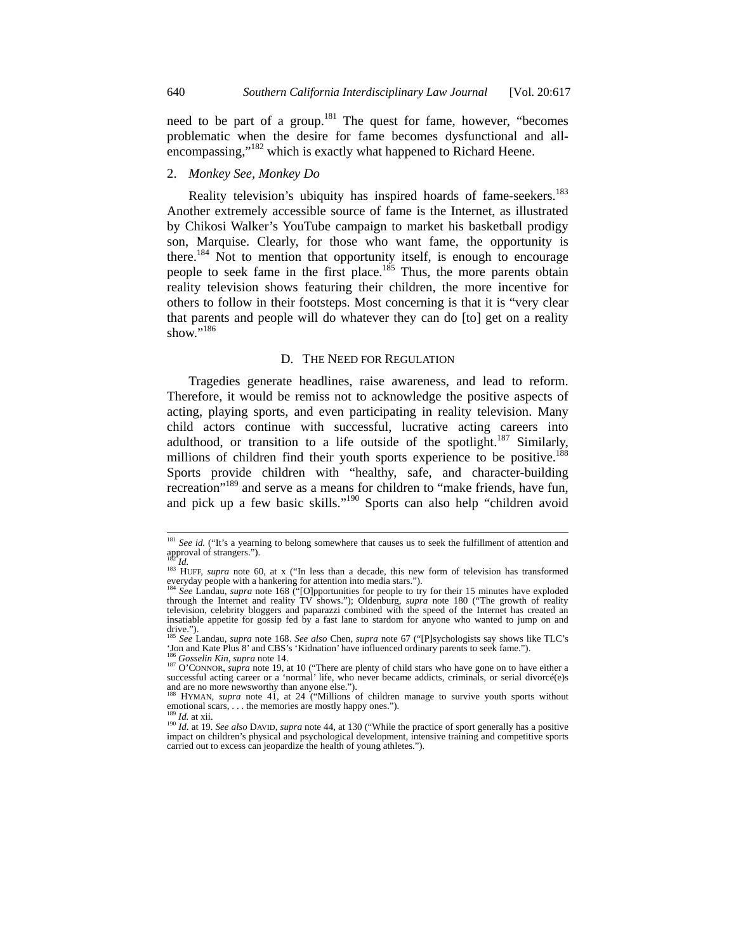need to be part of a group.<sup>181</sup> The quest for fame, however, "becomes" problematic when the desire for fame becomes dysfunctional and allencompassing,"<sup>182</sup> which is exactly what happened to Richard Heene.

# 2. *Monkey See, Monkey Do*

Reality television's ubiquity has inspired hoards of fame-seekers.<sup>183</sup> Another extremely accessible source of fame is the Internet, as illustrated by Chikosi Walker's YouTube campaign to market his basketball prodigy son, Marquise. Clearly, for those who want fame, the opportunity is there.<sup>184</sup> Not to mention that opportunity itself, is enough to encourage people to seek fame in the first place.<sup>185</sup> Thus, the more parents obtain reality television shows featuring their children, the more incentive for others to follow in their footsteps. Most concerning is that it is "very clear that parents and people will do whatever they can do [to] get on a reality show."<sup>186</sup>

#### D. THE NEED FOR REGULATION

Tragedies generate headlines, raise awareness, and lead to reform. Therefore, it would be remiss not to acknowledge the positive aspects of acting, playing sports, and even participating in reality television. Many child actors continue with successful, lucrative acting careers into adulthood, or transition to a life outside of the spotlight.<sup>187</sup> Similarly, millions of children find their youth sports experience to be positive.<sup>188</sup> Sports provide children with "healthy, safe, and character-building recreation"<sup>189</sup> and serve as a means for children to "make friends, have fun, and pick up a few basic skills."<sup>190</sup> Sports can also help "children avoid

<sup>&</sup>lt;sup>181</sup> See id. ("It's a yearning to belong somewhere that causes us to seek the fulfillment of attention and approval of strangers.").

<sup>&</sup>lt;sup>182</sup>*Id.* 183 HUFF, *supra* note 60, at x ("In less than a decade, this new form of television has transformed everyday people with a hankering for attention into media stars.").<br><sup>184</sup> See Landsv media stars.").

<sup>&</sup>lt;sup>184</sup> *See* Landau, *supra* note 168 <sup>("</sup>[O]pportunities for people to try for their 15 minutes have exploded through the Internet and reality TV shows."); Oldenburg, *supra* note 180 ("The growth of reality television, celebrity bloggers and paparazzi combined with the speed of the Internet has created an insatiable appetite for gossip fed by a fast lane to stardom for anyone who wanted to jump on and drive."). <sup>185</sup> *See* Landau, *supra* note 168. *See also* Chen, *supra* note 67 ("[P]sychologists say shows like TLC's

For and Kate Plus 8' and CBS's 'Kidnation' have influenced ordinary parents to seek fame.").<br><sup>186</sup> Gosselin Kin, supra note 14.<br><sup>187</sup> O'CONNOR, *supra* note 19, at 10 ("There are plenty of child stars who have gone on to h

successful acting career or a 'normal' life, who never became addicts, criminals, or serial divorcé(e)s and are no more newsworthy than anyone else.").

HYMAN, *supra* note 41, at 24 ("Millions of children manage to survive youth sports without emotional scars, . . . the memories are mostly happy ones.").<br><sup>189</sup> *Id.* at xii. 190 *Id.* at 19. *See also* DAVID, *supra* note 44, at 130 ("While the practice of sport generally has a positive

impact on children's physical and psychological development, intensive training and competitive sports carried out to excess can jeopardize the health of young athletes.").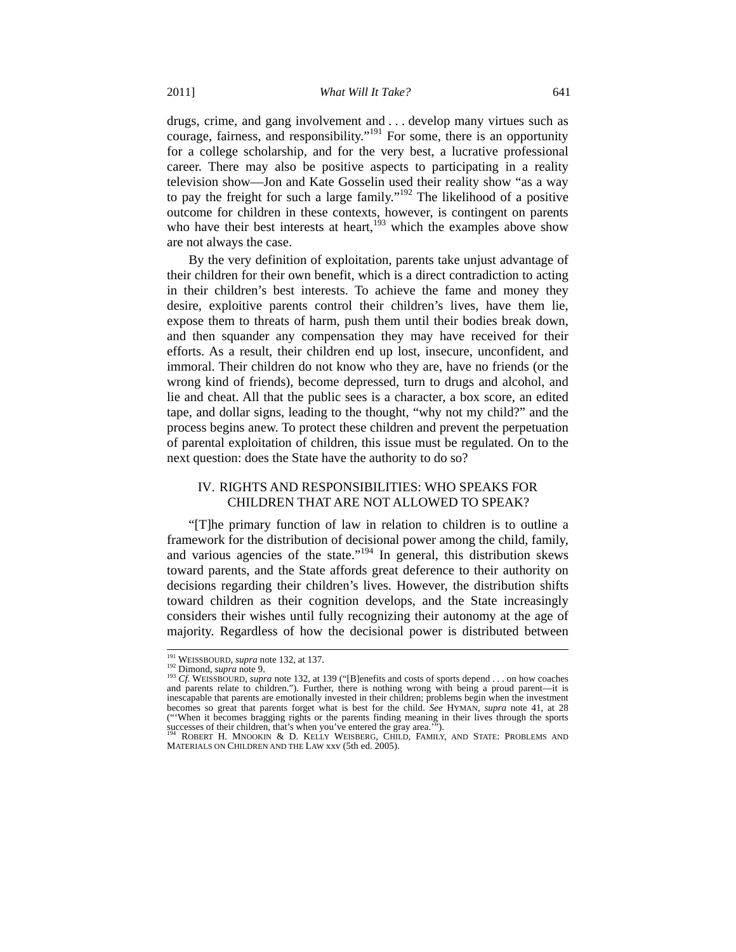drugs, crime, and gang involvement and . . . develop many virtues such as courage, fairness, and responsibility."<sup>191</sup> For some, there is an opportunity for a college scholarship, and for the very best, a lucrative professional career. There may also be positive aspects to participating in a reality television show—Jon and Kate Gosselin used their reality show "as a way to pay the freight for such a large family."192 The likelihood of a positive outcome for children in these contexts, however, is contingent on parents who have their best interests at heart,  $193$  which the examples above show are not always the case.

By the very definition of exploitation, parents take unjust advantage of their children for their own benefit, which is a direct contradiction to acting in their children's best interests. To achieve the fame and money they desire, exploitive parents control their children's lives, have them lie, expose them to threats of harm, push them until their bodies break down, and then squander any compensation they may have received for their efforts. As a result, their children end up lost, insecure, unconfident, and immoral. Their children do not know who they are, have no friends (or the wrong kind of friends), become depressed, turn to drugs and alcohol, and lie and cheat. All that the public sees is a character, a box score, an edited tape, and dollar signs, leading to the thought, "why not my child?" and the process begins anew. To protect these children and prevent the perpetuation of parental exploitation of children, this issue must be regulated. On to the next question: does the State have the authority to do so?

# IV. RIGHTS AND RESPONSIBILITIES: WHO SPEAKS FOR CHILDREN THAT ARE NOT ALLOWED TO SPEAK?

"[T]he primary function of law in relation to children is to outline a framework for the distribution of decisional power among the child, family, and various agencies of the state."<sup>194</sup> In general, this distribution skews toward parents, and the State affords great deference to their authority on decisions regarding their children's lives. However, the distribution shifts toward children as their cognition develops, and the State increasingly considers their wishes until fully recognizing their autonomy at the age of majority. Regardless of how the decisional power is distributed between

<sup>&</sup>lt;sup>191</sup> WEISSBOURD, *supra* note 132, at 137.<br><sup>192</sup> Dimond, *supra* note 9.<br><sup>193</sup> *Cf.* WEISSBOURD, *supra* note 132, at 139 ("[B]enefits and costs of sports depend . . . on how coaches<br>and parents relate to children."). Fu inescapable that parents are emotionally invested in their children; problems begin when the investment becomes so great that parents forget what is best for the child. *See* HYMAN, *supra* note 41, at 28 ("'When it becomes bragging rights or the parents finding meaning in their lives through the sports successes of their children, that's when you've entered the gray area.'").<br><sup>194</sup> ROBERT H. MNOOKIN & D. KELLY WEISBERG, CHILD, FAMILY, AND STATE: PROBLEMS AND

MATERIALS ON CHILDREN AND THE LAW xxv (5th ed. 2005).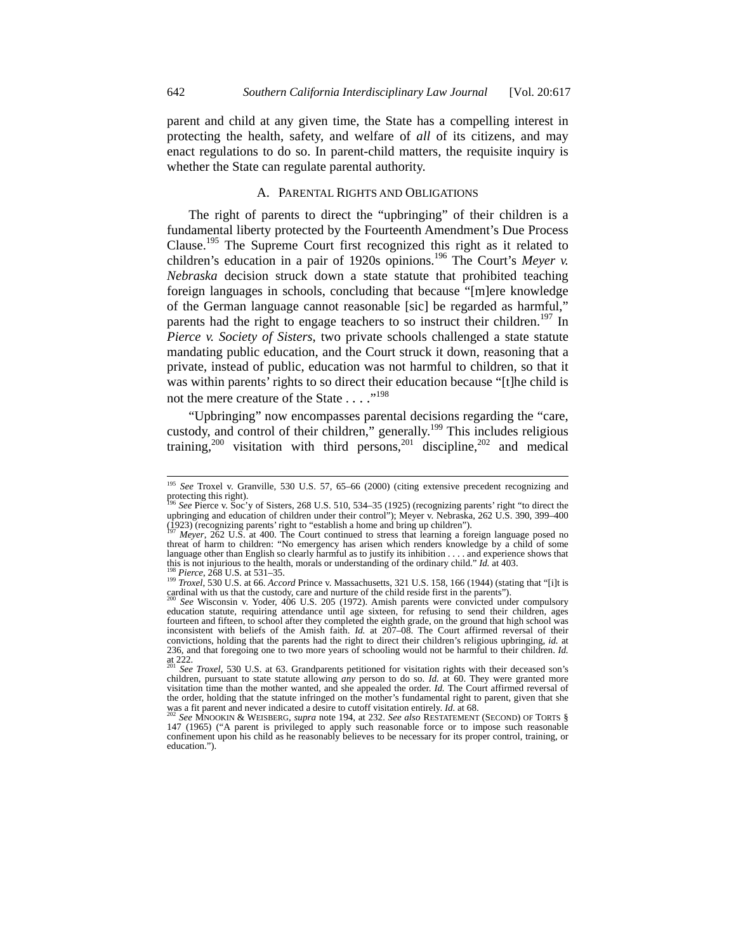parent and child at any given time, the State has a compelling interest in protecting the health, safety, and welfare of *all* of its citizens, and may enact regulations to do so. In parent-child matters, the requisite inquiry is whether the State can regulate parental authority.

### A. PARENTAL RIGHTS AND OBLIGATIONS

The right of parents to direct the "upbringing" of their children is a fundamental liberty protected by the Fourteenth Amendment's Due Process Clause.<sup>195</sup> The Supreme Court first recognized this right as it related to children's education in a pair of 1920s opinions.<sup>196</sup> The Court's *Meyer v. Nebraska* decision struck down a state statute that prohibited teaching foreign languages in schools, concluding that because "[m]ere knowledge of the German language cannot reasonable [sic] be regarded as harmful," parents had the right to engage teachers to so instruct their children.<sup>197</sup> In *Pierce v. Society of Sisters*, two private schools challenged a state statute mandating public education, and the Court struck it down, reasoning that a private, instead of public, education was not harmful to children, so that it was within parents' rights to so direct their education because "[t]he child is not the mere creature of the State . . . .<sup>"198</sup>

"Upbringing" now encompasses parental decisions regarding the "care, custody, and control of their children," generally.<sup>199</sup> This includes religious training,<sup>200</sup> visitation with third persons,<sup>201</sup> discipline,<sup>202</sup> and medical

 <sup>195</sup> *See* Troxel v. Granville, 530 U.S. 57, 65–66 (2000) (citing extensive precedent recognizing and protecting this right).

See Pierce v. Soc'y of Sisters, 268 U.S. 510, 534–35 (1925) (recognizing parents' right "to direct the upbringing and education of children under their control"); Meyer v. Nebraska, 262 U.S. 390, 399–400 (1923) (recognizing parents' right to "establish a home and bring up children").

<sup>(1923) (</sup>recognizing parents' right to "establish a home and bring up children").<br><sup>197</sup> *Meyer*, 262 U.S. at 400. The Court continued to stress that learning a foreign language posed no<br>threat of harm to children: "No emer language other than English so clearly harmful as to justify its inhibition  $\dots$  and experience shows that this is not injurious to the health, morals or understanding of the ordinary child." *Id.* at 403.

<sup>&</sup>lt;sup>198</sup> *Pierce*, 268 U.S. at 531–35.<br><sup>199</sup> *Troxel*, 530 U.S. at 66. *Accord* Prince v. Massachusetts, 321 U.S. 158, 166 (1944) (stating that "[i]t is cardinal with us that the custody, care and nurture of the child reside first in the parents"). 200 *See* Wisconsin v. Yoder, 406 U.S. 205 (1972). Amish parents were convicted under compulsory

education statute, requiring attendance until age sixteen, for refusing to send their children, ages fourteen and fifteen, to school after they completed the eighth grade, on the ground that high school was inconsistent with beliefs of the Amish faith. *Id.* at 207–08. The Court affirmed reversal of their convictions, holding that the parents had the right to direct their children's religious upbringing, *id.* at 236, and that foregoing one to two more years of schooling would not be harmful to their children. *Id.*  at 222. <sup>201</sup> *See Troxel*, 530 U.S. at 63. Grandparents petitioned for visitation rights with their deceased son's

children, pursuant to state statute allowing *any* person to do so. *Id.* at 60. They were granted more visitation time than the mother wanted, and she appealed the order. *Id.* The Court affirmed reversal of the order, holding that the statute infringed on the mother's fundamental right to parent, given that she was a fit parent and never indicated a desire to cutoff visitation entirely. *Id.* at 68.<br><sup>202</sup> *See* MNOOKIN & WEISBERG, *supra* note 194, at 232. *See also* RESTATEMENT (SECOND) OF TORTS §

<sup>147 (1965) (&</sup>quot;A parent is privileged to apply such reasonable force or to impose such reasonable confinement upon his child as he reasonably believes to be necessary for its proper control, training, or education.").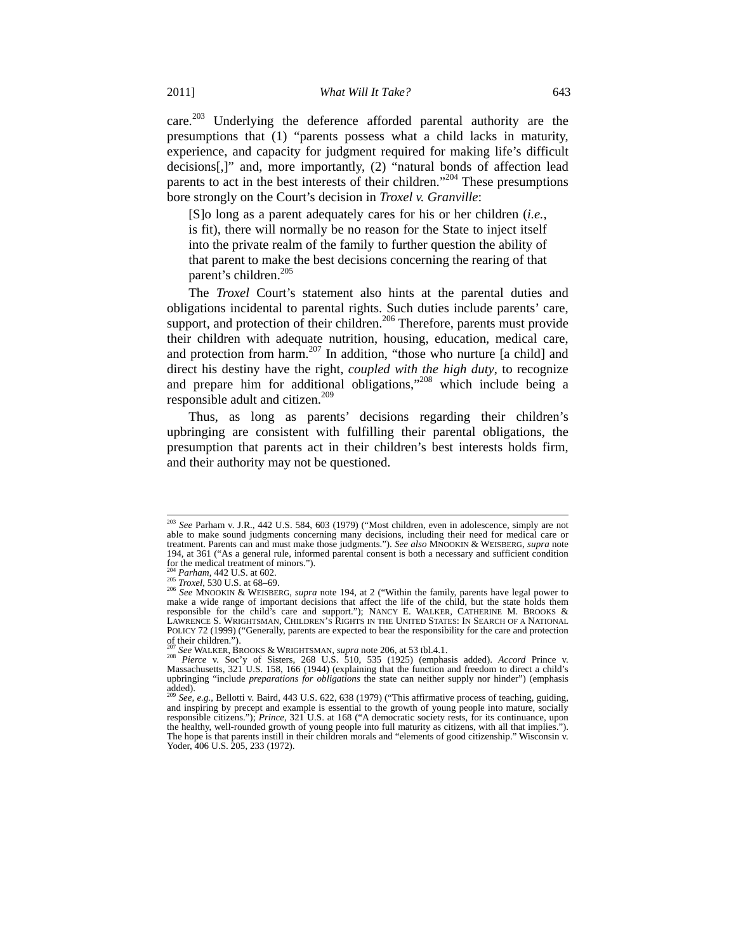care.<sup>203</sup> Underlying the deference afforded parental authority are the presumptions that (1) "parents possess what a child lacks in maturity, experience, and capacity for judgment required for making life's difficult decisions[,]" and, more importantly, (2) "natural bonds of affection lead parents to act in the best interests of their children."204 These presumptions bore strongly on the Court's decision in *Troxel v. Granville*:

[S]o long as a parent adequately cares for his or her children (*i.e.*, is fit), there will normally be no reason for the State to inject itself into the private realm of the family to further question the ability of that parent to make the best decisions concerning the rearing of that parent's children.<sup>205</sup>

The *Troxel* Court's statement also hints at the parental duties and obligations incidental to parental rights. Such duties include parents' care, support, and protection of their children.<sup>206</sup> Therefore, parents must provide their children with adequate nutrition, housing, education, medical care, and protection from harm.<sup>207</sup> In addition, "those who nurture [a child] and direct his destiny have the right, *coupled with the high duty*, to recognize and prepare him for additional obligations,"208 which include being a responsible adult and citizen.<sup>209</sup>

Thus, as long as parents' decisions regarding their children's upbringing are consistent with fulfilling their parental obligations, the presumption that parents act in their children's best interests holds firm, and their authority may not be questioned.

 <sup>203</sup> *See* Parham v. J.R., 442 U.S. 584, 603 (1979) ("Most children, even in adolescence, simply are not able to make sound judgments concerning many decisions, including their need for medical care or treatment. Parents can and must make those judgments."). *See also* MNOOKIN & WEISBERG, *supra* note 194, at 361 ("As a general rule, informed parental consent is both a necessary and sufficient condition for the medical treatment of minors.").<br> $^{204}$  *Parham*, 442 U.S. at 602.<br> $^{205}$  *Troxel*, 530 U.S. at 68–69.

<sup>&</sup>lt;sup>204</sup> Parham, 442 U.S. at 602.<br><sup>205</sup> *Troxel*, 530 U.S. at 68–69.<br><sup>205</sup> *See* MNOOKIN & WEISBERG, *supra* note 194, at 2 ("Within the family, parents have legal power to make a wide range of important decisions that affect responsible for the child's care and support."); NANCY E. WALKER, CATHERINE M. BROOKS & LAWRENCE S. WRIGHTSMAN, CHILDREN'S RIGHTS IN THE UNITED STATES: IN SEARCH OF A NATIONAL POLICY 72 (1999) ("Generally, parents are expected to bear the responsibility for the care and protection of their children.").

<sup>207</sup> *See* WALKER, BROOKS & WRIGHTSMAN, *supra* note 206, at 53 tbl.4.1. 208 *Pierce* v. Soc'y of Sisters, 268 U.S. 510, 535 (1925) (emphasis added). *Accord* Prince v. Massachusetts, 321 U.S. 158, 166 (1944) (explaining that the function and freedom to direct a child's upbringing "include *preparations for obligations* the state can neither supply nor hinder") (emphasis  $a^{\text{added}}$ .

<sup>209</sup> *See, e.g.*, Bellotti v. Baird, 443 U.S. 622, 638 (1979) ("This affirmative process of teaching, guiding, and inspiring by precept and example is essential to the growth of young people into mature, socially responsible citizens."); *Prince*, 321 U.S. at 168 ("A democratic society rests, for its continuance, upon the healthy, well-rounded growth of young people into full maturity as citizens, with all that implies."). The hope is that parents instill in their children morals and "elements of good citizenship." Wisconsin v. Yoder, 406 U.S. 205, 233 (1972).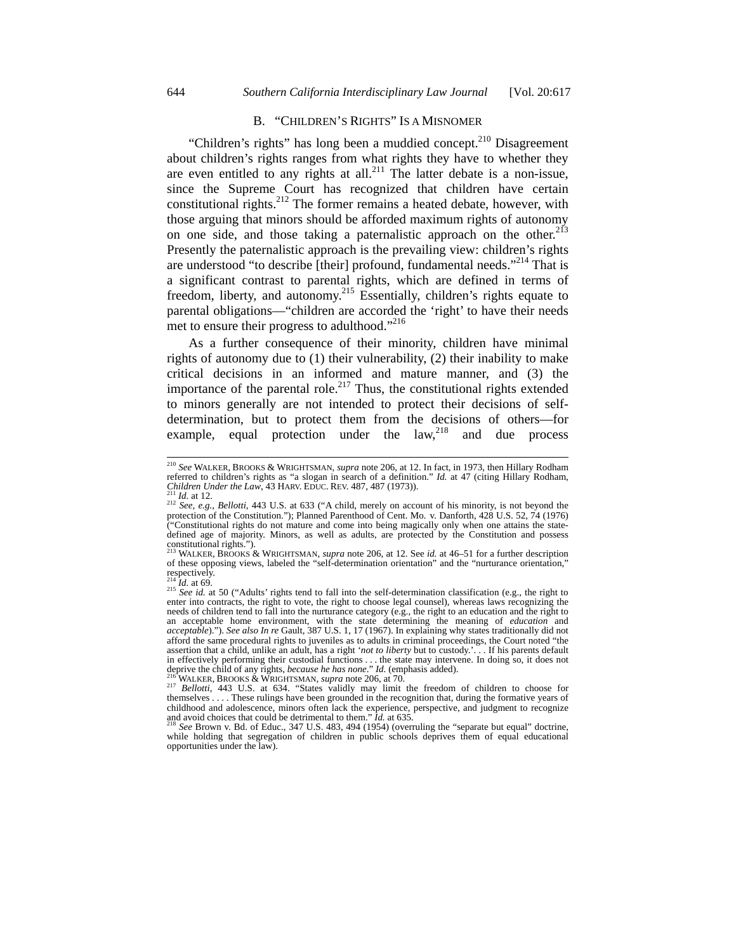# B. "CHILDREN'S RIGHTS" IS A MISNOMER

"Children's rights" has long been a muddied concept. $210$  Disagreement about children's rights ranges from what rights they have to whether they are even entitled to any rights at all.<sup>211</sup> The latter debate is a non-issue, since the Supreme Court has recognized that children have certain constitutional rights.<sup>212</sup> The former remains a heated debate, however, with those arguing that minors should be afforded maximum rights of autonomy on one side, and those taking a paternalistic approach on the other.<sup>213</sup> Presently the paternalistic approach is the prevailing view: children's rights are understood "to describe [their] profound, fundamental needs."<sup>214</sup> That is a significant contrast to parental rights, which are defined in terms of freedom, liberty, and autonomy.<sup>215</sup> Essentially, children's rights equate to parental obligations—"children are accorded the 'right' to have their needs met to ensure their progress to adulthood."<sup>216</sup>

As a further consequence of their minority, children have minimal rights of autonomy due to (1) their vulnerability, (2) their inability to make critical decisions in an informed and mature manner, and (3) the importance of the parental role.<sup>217</sup> Thus, the constitutional rights extended to minors generally are not intended to protect their decisions of selfdetermination, but to protect them from the decisions of others—for example, equal protection under the  $law<sub>18</sub><sup>218</sup>$  and due process

 <sup>210</sup> *See* WALKER, BROOKS & WRIGHTSMAN, *supra* note 206, at 12. In fact, in 1973, then Hillary Rodham referred to children's rights as "a slogan in search of a definition." *Id.* at 47 (citing Hillary Rodham, *Children Under the Law*, 43 HARV. EDUC. REV. 487, 487 (1973)).<br><sup>211</sup> *Id.* at 12.<br><sup>212</sup> *See, e.g., Bellotti,* 443

<sup>212</sup> See, e.g., Bellotti, 443 U.S. at 633 ("A child, merely on account of his minority, is not beyond the protection of the Constitution."); Planned Parenthood of Cent. Mo. v. Danforth, 428 U.S. 52, 74 (1976) ("Constitutional rights do not mature and come into being magically only when one attains the statedefined age of majority. Minors, as well as adults, are protected by the Constitution and possess constitutional rights.").

<sup>213</sup> WALKER, BROOKS & WRIGHTSMAN, *supra* note 206, at 12. See *id.* at 46–51 for a further description of these opposing views, labeled the "self-determination orientation" and the "nurturance orientation," respectively.<br> $^{214}$  *Id.* at 69.

<sup>&</sup>lt;sup>215</sup> *See id.* at 50 ("Adults' rights tend to fall into the self-determination classification (e.g., the right to enter into contracts, the right to vote, the right to choose legal counsel), whereas laws recognizing the needs of children tend to fall into the nurturance category (e.g., the right to an education and the right to an acceptable home environment, with the state determining the meaning of *education* and *acceptable*)."). *See also In re* Gault, 387 U.S. 1, 17 (1967). In explaining why states traditionally did not afford the same procedural rights to juveniles as to adults in criminal proceedings, the Court noted "the assertion that a child, unlike an adult, has a right '*not to liberty* but to custody.'. . . If his parents default in effectively performing their custodial functions ... the state may intervene. In doing so, it does not deprive the child of any rights, because he has none." Id. (emphasis added).

<sup>&</sup>lt;sup>216</sup> WALKER, BROOKS & WRIGHTSMAN, *supra* note 206, at 70.<br><sup>217</sup> Bellotti, 443 U.S. at 634. "States validly may limit the freedom of children to choose for themselves .... These rulings have been grounded in the recognit themselves .... These rulings have been grounded in the recognition that, during the formative years of childhood and adolescence, minors often lack the experience, perspective, and judgment to recognize and avoid choices

while holding that segregation of children in public schools deprives them of equal educational opportunities under the law).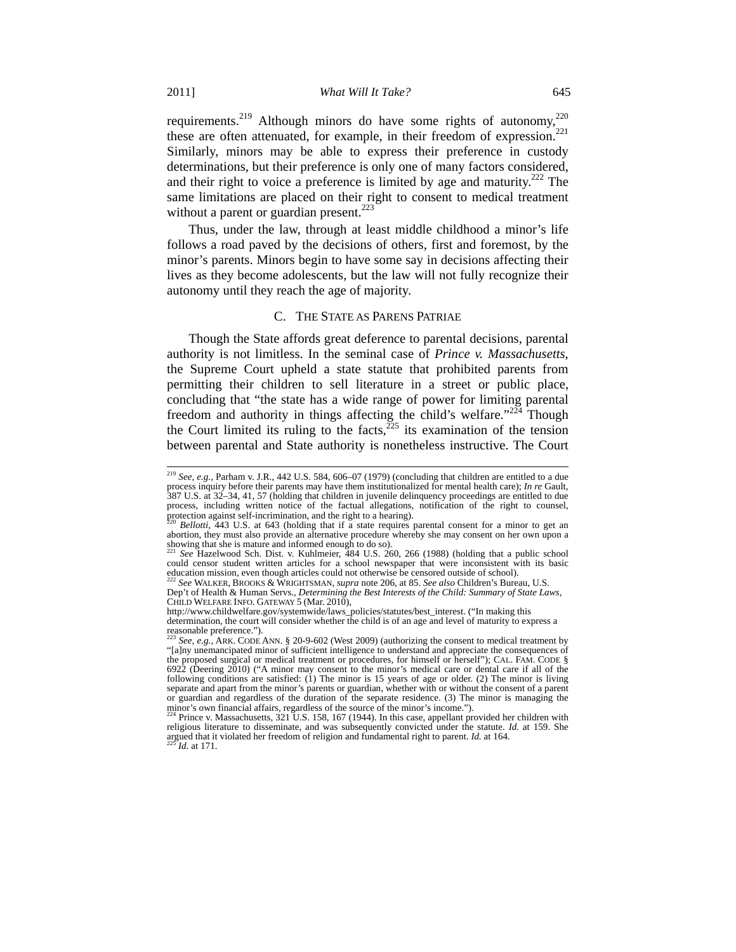requirements.<sup>219</sup> Although minors do have some rights of autonomy,<sup>220</sup> these are often attenuated, for example, in their freedom of expression.<sup>221</sup> Similarly, minors may be able to express their preference in custody determinations, but their preference is only one of many factors considered, and their right to voice a preference is limited by age and maturity.<sup>222</sup> The same limitations are placed on their right to consent to medical treatment without a parent or guardian present. $223$ 

Thus, under the law, through at least middle childhood a minor's life follows a road paved by the decisions of others, first and foremost, by the minor's parents. Minors begin to have some say in decisions affecting their lives as they become adolescents, but the law will not fully recognize their autonomy until they reach the age of majority.

# C. THE STATE AS PARENS PATRIAE

Though the State affords great deference to parental decisions, parental authority is not limitless. In the seminal case of *Prince v. Massachusetts*, the Supreme Court upheld a state statute that prohibited parents from permitting their children to sell literature in a street or public place, concluding that "the state has a wide range of power for limiting parental freedom and authority in things affecting the child's welfare." $224$  Though the Court limited its ruling to the facts, $^{225}$  its examination of the tension between parental and State authority is nonetheless instructive. The Court

<sup>&</sup>lt;sup>219</sup> See, e.g., Parham v. J.R., 442 U.S. 584, 606–07 (1979) (concluding that children are entitled to a due process inquiry before their parents may have them institutionalized for mental health care); *In re* Gault, 387 U.S. at 32–34, 41, 57 (holding that children in juvenile delinquency proceedings are entitled to due process, including written notice of the factual allegations, notification of the right to counsel, protection against self-incrimination, and the right to a hearing).<br><sup>220</sup> Bellotti, 443 U.S. at 643 (holding that if a sta

 $^{220}$  *Bellotti*,  $\overline{443}$  U.S. at 643 (holding that if a state requires parental consent for a minor to get an abortion, they must also provide an alternative procedure whereby she may consent on her own upon a showing that she is mature and informed enough to do so).

<sup>221</sup> *See* Hazelwood Sch. Dist. v. Kuhlmeier, 484 U.S. 260, 266 (1988) (holding that a public school could censor student written articles for a school newspaper that were inconsistent with its basic education mission, even though articles could not otherwise be censored outside of school). 222 *See* WALKER, BROOKS & WRIGHTSMAN, *supra* note 206, at 85. *See also* Children's Bureau, U.S.

Dep't of Health & Human Servs., *Determining the Best Interests of the Child: Summary of State Laws*, CHILD WELFARE INFO. GATEWAY 5 (Mar. 2010),

http://www.childwelfare.gov/systemwide/laws\_policies/statutes/best\_interest. ("In making this determination, the court will consider whether the child is of an age and level of maturity to express a

reasonable preference."). <sup>223</sup> *See, e.g.*, ARK. CODE ANN. § 20-9-602 (West 2009) (authorizing the consent to medical treatment by "[a]ny unemancipated minor of sufficient intelligence to understand and appreciate the consequences of the proposed surgical or medical treatment or procedures, for himself or herself"); CAL. FAM. CODE § 6922 (Deering 2010) ("A minor may consent to the minor's medical care or dental care if all of the following conditions are satisfied: (1) The minor is 15 years of age or older. (2) The minor is living separate and apart from the minor's parents or guardian, whether with or without the consent of a parent or guardian and regardless of the duration of the separate residence. (3) The minor is managing the

minor's own financial affairs, regardless of the source of the minor's income.").<br><sup>224</sup> Prince v. Massachusetts, 321 U.S. 158, 167 (1944). In this case, appellant provided her children with religious literature to disseminate, and was subsequently convicted under the statute. *Id.* at 159. She argued that it violated her freedom of religion and fundamental right to parent. *Id.* at 164. 225 *Id.* at 171.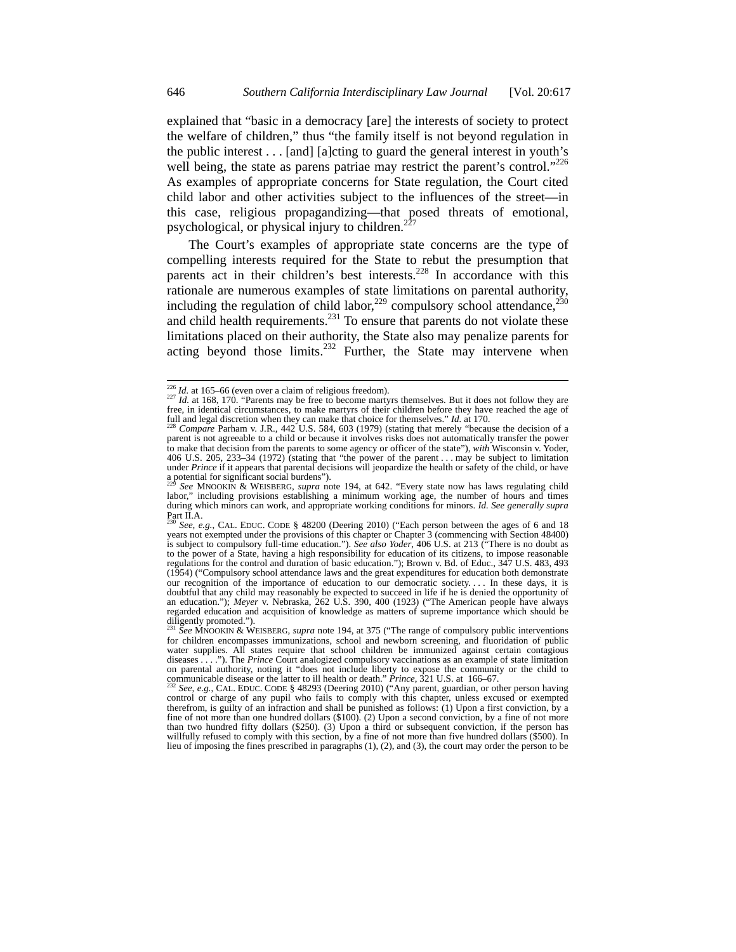explained that "basic in a democracy [are] the interests of society to protect the welfare of children," thus "the family itself is not beyond regulation in the public interest . . . [and] [a]cting to guard the general interest in youth's well being, the state as parens patriae may restrict the parent's control.<sup>"226</sup> As examples of appropriate concerns for State regulation, the Court cited child labor and other activities subject to the influences of the street—in this case, religious propagandizing—that posed threats of emotional, psychological, or physical injury to children. $<sup>2</sup>$ </sup>

The Court's examples of appropriate state concerns are the type of compelling interests required for the State to rebut the presumption that parents act in their children's best interests.<sup>228</sup> In accordance with this rationale are numerous examples of state limitations on parental authority, including the regulation of child labor,<sup>229</sup> compulsory school attendance,<sup>230</sup> and child health requirements. $^{231}$  To ensure that parents do not violate these limitations placed on their authority, the State also may penalize parents for acting beyond those limits. $232$  Further, the State may intervene when

 $\frac{226}{124}$  *Id.* at 165–66 (even over a claim of religious freedom).<br><sup>227</sup> *Id.* at 168, 170. "Parents may be free to become martyrs themselves. But it does not follow they are  $\frac{227}{12}$  *Id.* at 168, 170. "Parents free, in identical circumstances, to make martyrs of their children before they have reached the age of full and legal discretion when they can make that choice for themselves." *Id.* at 170. 228 *Compare* Parham v. J.R., 442 U.S. 584, 603 (1979) (stating that merely "because the decision of a

parent is not agreeable to a child or because it involves risks does not automatically transfer the power to make that decision from the parents to some agency or officer of the state"), *with* Wisconsin v. Yoder, 406 U.S. 205, 233–34 (1972) (stating that "the power of the parent . . . may be subject to limitation under *Prince* if it appears that parental decisions will jeopardize the health or safety of the child, or have a potential for significant social burdens").

<sup>229</sup> *See* MNOOKIN & WEISBERG, *supra* note 194, at 642. "Every state now has laws regulating child labor," including provisions establishing a minimum working age, the number of hours and times during which minors can work, and appropriate working conditions for minors. *Id. See generally supra* Part II.A.

<sup>230</sup> *See, e.g.*, CAL. EDUC. CODE § 48200 (Deering 2010) ("Each person between the ages of 6 and 18 years not exempted under the provisions of this chapter or Chapter 3 (commencing with Section 48400) is subject to compulsory full-time education."). *See also Yoder*, 406 U.S. at 213 ("There is no doubt as to the power of a State, having a high responsibility for education of its citizens, to impose reasonable regulations for the control and duration of basic education."); Brown v. Bd. of Educ., 347 U.S. 483, 493 (1954) ("Compulsory school attendance laws and the great expenditures for education both demonstrate our recognition of the importance of education to our democratic society. . . . In these days, it is doubtful that any child may reasonably be expected to succeed in life if he is denied the opportunity of an education."); *Meyer* v. Nebraska, 262 U.S. 390, 400 (1923) ("The American people have always regarded education and acquisition of knowledge as matters of supreme importance which should be

diligently promoted."). <sup>231</sup> *See* MNOOKIN & WEISBERG, *supra* note 194, at 375 ("The range of compulsory public interventions for children encompasses immunizations, school and newborn screening, and fluoridation of public water supplies. All states require that school children be immunized against certain contagious diseases . . . ."). The *Prince* Court analogized compulsory vaccinations as an example of state limitation on parental authority, noting it "does not include liberty to expose the community or the child to communicable disease or the latter to ill health or death." *Prince*, 321 U.S. at 166–67.<br><sup>232</sup> *See*, e.g., CAL. EDUC. CODE § 48293 (Deering 2010) ("Any parent, guardian, or other person having

control or charge of any pupil who fails to comply with this chapter, unless excused or exempted therefrom, is guilty of an infraction and shall be punished as follows: (1) Upon a first conviction, by a fine of not more than one hundred dollars (\$100). (2) Upon a second conviction, by a fine of not more than two hundred fifty dollars (\$250). (3) Upon a third or subsequent conviction, if the person has willfully refused to comply with this section, by a fine of not more than five hundred dollars (\$500). In lieu of imposing the fines prescribed in paragraphs (1), (2), and (3), the court may order the person to be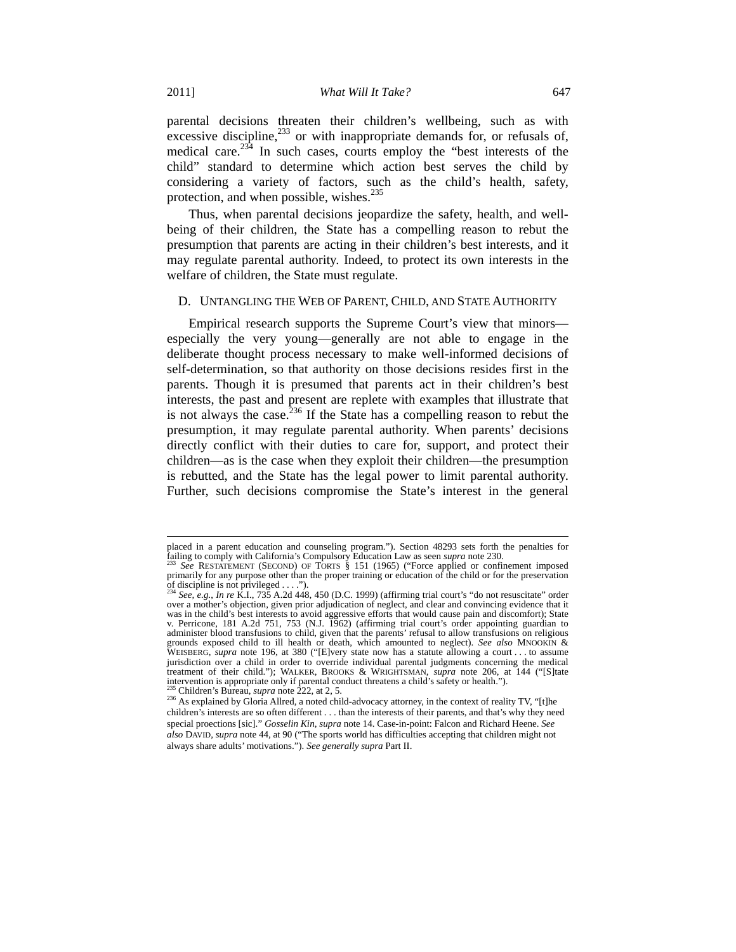parental decisions threaten their children's wellbeing, such as with excessive discipline, $233$  or with inappropriate demands for, or refusals of, medical care. $234$  In such cases, courts employ the "best interests of the child" standard to determine which action best serves the child by considering a variety of factors, such as the child's health, safety, protection, and when possible, wishes. $235$ 

Thus, when parental decisions jeopardize the safety, health, and wellbeing of their children, the State has a compelling reason to rebut the presumption that parents are acting in their children's best interests, and it may regulate parental authority. Indeed, to protect its own interests in the welfare of children, the State must regulate.

#### D. UNTANGLING THE WEB OF PARENT, CHILD, AND STATE AUTHORITY

Empirical research supports the Supreme Court's view that minors especially the very young—generally are not able to engage in the deliberate thought process necessary to make well-informed decisions of self-determination, so that authority on those decisions resides first in the parents. Though it is presumed that parents act in their children's best interests, the past and present are replete with examples that illustrate that is not always the case.  $236$  If the State has a compelling reason to rebut the presumption, it may regulate parental authority. When parents' decisions directly conflict with their duties to care for, support, and protect their children—as is the case when they exploit their children—the presumption is rebutted, and the State has the legal power to limit parental authority. Further, such decisions compromise the State's interest in the general

placed in a parent education and counseling program."). Section 48293 sets forth the penalties for failing to comply with California's Compulsory Education Law as seen *supra* note 230.<br><sup>233</sup> *See* RESTATEMENT (SECOND) OF TORTS § 151 (1965) ("Force applied or confinement imposed

primarily for any purpose other than the proper training or education of the child or for the preservation of discipline is not privileged . . . ."). <sup>234</sup> *See, e.g.*, *In re* K.I., 735 A.2d 448, 450 (D.C. 1999) (affirming trial court's "do not resuscitate" order

over a mother's objection, given prior adjudication of neglect, and clear and convincing evidence that it was in the child's best interests to avoid aggressive efforts that would cause pain and discomfort); State v. Perricone, 181 A.2d 751, 753 (N.J. 1962) (affirming trial court's order appointing guardian to administer blood transfusions to child, given that the parents' refusal to allow transfusions on religious grounds exposed child to ill health or death, which amounted to neglect). *See also* MNOOKIN & WEISBERG, *supra* note 196, at 380 ("[E]very state now has a statute allowing a court . . . to assume jurisdiction over a child in order to override individual parental judgments concerning the medical treatment of their child."); WALKER, BROOKS & WRIGHTSMAN, *supra* note 206, at 144 ("[S]tate intervention is appropriate only if parental conduct threatens a child's safety or health.").

<sup>&</sup>lt;sup>235</sup> Children's Bureau, *supra* note 222, at 2, 5.<br><sup>236</sup> As explained by Gloria Allred, a noted child-advocacy attorney, in the context of reality TV, "[t]he children's interests are so often different . . . than the interests of their parents, and that's why they need special proections [sic]." *Gosselin Kin*, *supra* note 14. Case-in-point: Falcon and Richard Heene. *See also* DAVID, *supra* note 44, at 90 ("The sports world has difficulties accepting that children might not always share adults' motivations."). *See generally supra* Part II.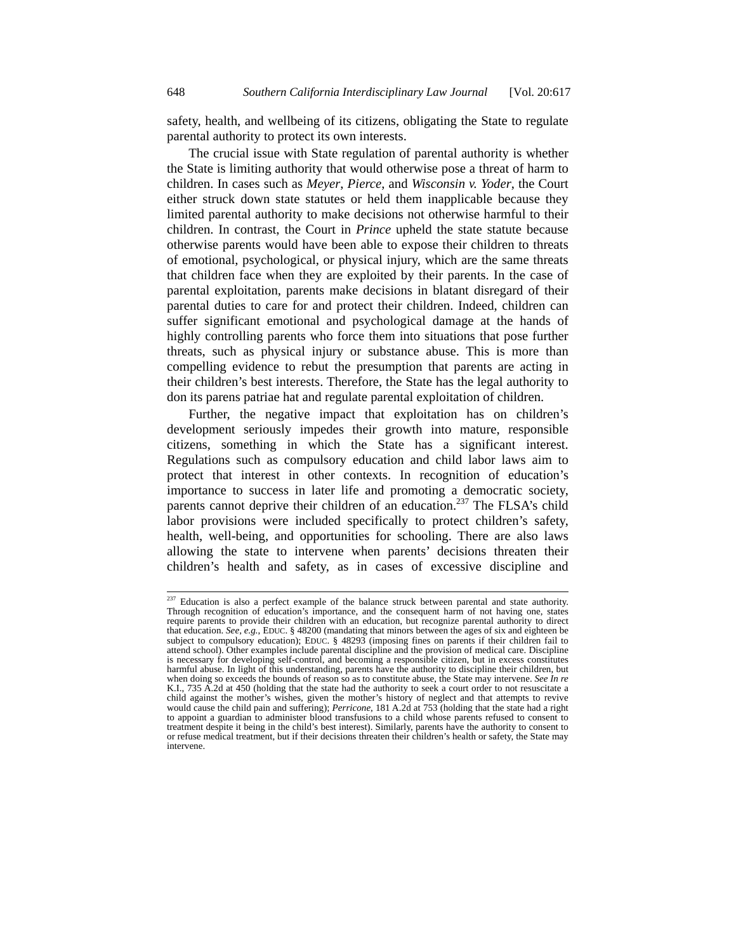safety, health, and wellbeing of its citizens, obligating the State to regulate parental authority to protect its own interests.

The crucial issue with State regulation of parental authority is whether the State is limiting authority that would otherwise pose a threat of harm to children. In cases such as *Meyer*, *Pierce*, and *Wisconsin v. Yoder*, the Court either struck down state statutes or held them inapplicable because they limited parental authority to make decisions not otherwise harmful to their children. In contrast, the Court in *Prince* upheld the state statute because otherwise parents would have been able to expose their children to threats of emotional, psychological, or physical injury, which are the same threats that children face when they are exploited by their parents. In the case of parental exploitation, parents make decisions in blatant disregard of their parental duties to care for and protect their children. Indeed, children can suffer significant emotional and psychological damage at the hands of highly controlling parents who force them into situations that pose further threats, such as physical injury or substance abuse. This is more than compelling evidence to rebut the presumption that parents are acting in their children's best interests. Therefore, the State has the legal authority to don its parens patriae hat and regulate parental exploitation of children.

Further, the negative impact that exploitation has on children's development seriously impedes their growth into mature, responsible citizens, something in which the State has a significant interest. Regulations such as compulsory education and child labor laws aim to protect that interest in other contexts. In recognition of education's importance to success in later life and promoting a democratic society, parents cannot deprive their children of an education.<sup>237</sup> The FLSA's child labor provisions were included specifically to protect children's safety, health, well-being, and opportunities for schooling. There are also laws allowing the state to intervene when parents' decisions threaten their children's health and safety, as in cases of excessive discipline and

<sup>&</sup>lt;sup>237</sup> Education is also a perfect example of the balance struck between parental and state authority. Through recognition of education's importance, and the consequent harm of not having one, states require parents to provide their children with an education, but recognize parental authority to direct that education. *See, e.g.*, EDUC. § 48200 (mandating that minors between the ages of six and eighteen be subject to compulsory education); EDUC. § 48293 (imposing fines on parents if their children fail to attend school). Other examples include parental discipline and the provision of medical care. Discipline is necessary for developing self-control, and becoming a responsible citizen, but in excess constitutes harmful abuse. In light of this understanding, parents have the authority to discipline their children, but when doing so exceeds the bounds of reason so as to constitute abuse, the State may intervene. *See In re* K.I., 735 A.2d at 450 (holding that the state had the authority to seek a court order to not resuscitate a child against the mother's wishes, given the mother's history of neglect and that attempts to revive would cause the child pain and suffering); *Perricone*, 181 A.2d at 753 (holding that the state had a right to appoint a guardian to administer blood transfusions to a child whose parents refused to consent to treatment despite it being in the child's best interest). Similarly, parents have the authority to consent to or refuse medical treatment, but if their decisions threaten their children's health or safety, the State may intervene.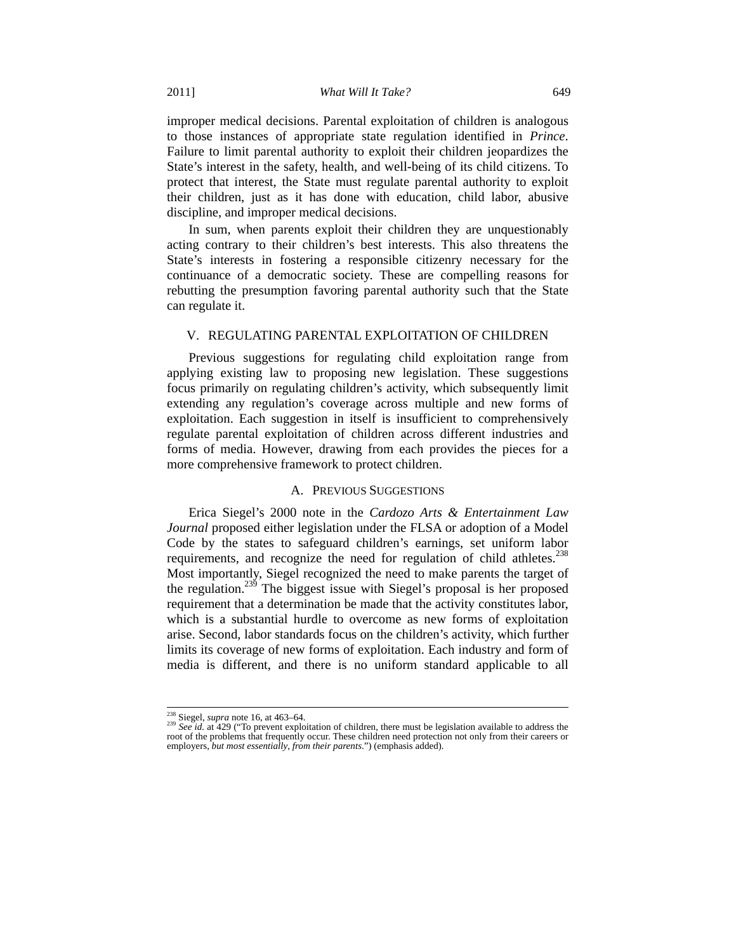improper medical decisions. Parental exploitation of children is analogous to those instances of appropriate state regulation identified in *Prince*. Failure to limit parental authority to exploit their children jeopardizes the State's interest in the safety, health, and well-being of its child citizens. To protect that interest, the State must regulate parental authority to exploit their children, just as it has done with education, child labor, abusive discipline, and improper medical decisions.

In sum, when parents exploit their children they are unquestionably acting contrary to their children's best interests. This also threatens the State's interests in fostering a responsible citizenry necessary for the continuance of a democratic society. These are compelling reasons for rebutting the presumption favoring parental authority such that the State can regulate it.

#### V. REGULATING PARENTAL EXPLOITATION OF CHILDREN

Previous suggestions for regulating child exploitation range from applying existing law to proposing new legislation. These suggestions focus primarily on regulating children's activity, which subsequently limit extending any regulation's coverage across multiple and new forms of exploitation. Each suggestion in itself is insufficient to comprehensively regulate parental exploitation of children across different industries and forms of media. However, drawing from each provides the pieces for a more comprehensive framework to protect children.

# A. PREVIOUS SUGGESTIONS

Erica Siegel's 2000 note in the *Cardozo Arts & Entertainment Law Journal* proposed either legislation under the FLSA or adoption of a Model Code by the states to safeguard children's earnings, set uniform labor requirements, and recognize the need for regulation of child athletes.<sup>238</sup> Most importantly, Siegel recognized the need to make parents the target of the regulation.<sup>239</sup> The biggest issue with Siegel's proposal is her proposed requirement that a determination be made that the activity constitutes labor, which is a substantial hurdle to overcome as new forms of exploitation arise. Second, labor standards focus on the children's activity, which further limits its coverage of new forms of exploitation. Each industry and form of media is different, and there is no uniform standard applicable to all

<sup>&</sup>lt;sup>238</sup> Siegel, *supra* note 16, at 463–64.<br><sup>239</sup> *See id.* at 429 ("To prevent exploitation of children, there must be legislation available to address the root of the problems that frequently occur. These children need protection not only from their careers or employers, *but most essentially*, *from their parents*.") (emphasis added).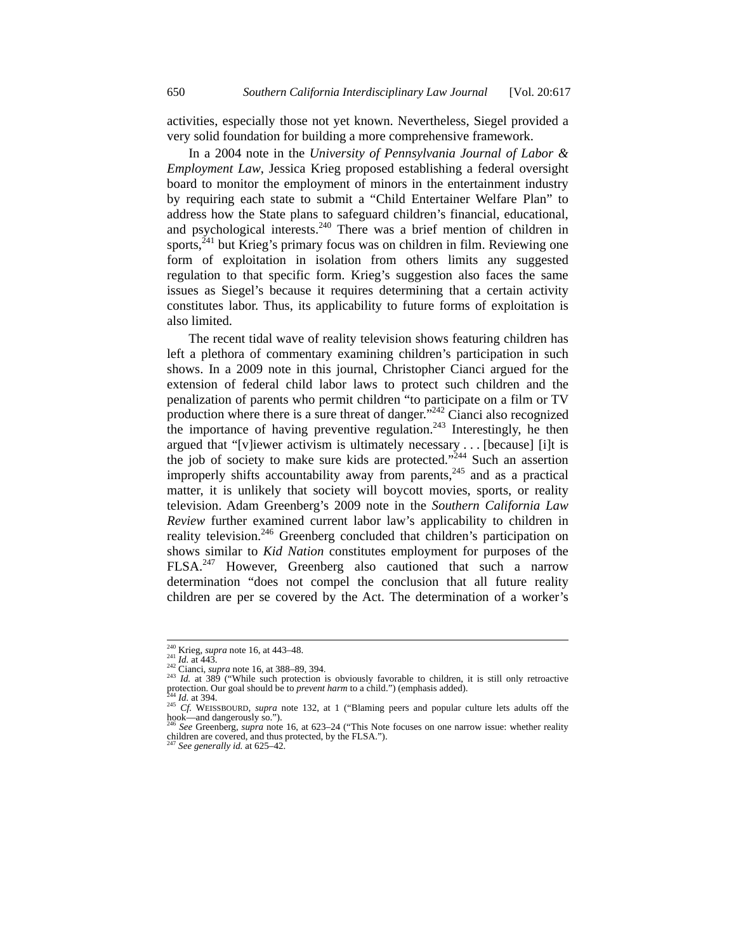activities, especially those not yet known. Nevertheless, Siegel provided a very solid foundation for building a more comprehensive framework.

In a 2004 note in the *University of Pennsylvania Journal of Labor & Employment Law*, Jessica Krieg proposed establishing a federal oversight board to monitor the employment of minors in the entertainment industry by requiring each state to submit a "Child Entertainer Welfare Plan" to address how the State plans to safeguard children's financial, educational, and psychological interests.<sup>240</sup> There was a brief mention of children in sports, $^{241}$  but Krieg's primary focus was on children in film. Reviewing one form of exploitation in isolation from others limits any suggested regulation to that specific form. Krieg's suggestion also faces the same issues as Siegel's because it requires determining that a certain activity constitutes labor. Thus, its applicability to future forms of exploitation is also limited.

The recent tidal wave of reality television shows featuring children has left a plethora of commentary examining children's participation in such shows. In a 2009 note in this journal, Christopher Cianci argued for the extension of federal child labor laws to protect such children and the penalization of parents who permit children "to participate on a film or TV production where there is a sure threat of danger. $\frac{1}{2}$ <sup>242</sup> Cianci also recognized the importance of having preventive regulation.<sup>243</sup> Interestingly, he then argued that "[v]iewer activism is ultimately necessary . . . [because] [i]t is the job of society to make sure kids are protected."<sup>244</sup> Such an assertion improperly shifts accountability away from parents,  $245$  and as a practical matter, it is unlikely that society will boycott movies, sports, or reality television. Adam Greenberg's 2009 note in the *Southern California Law Review* further examined current labor law's applicability to children in reality television.<sup>246</sup> Greenberg concluded that children's participation on shows similar to *Kid Nation* constitutes employment for purposes of the FLSA.<sup>247</sup> However, Greenberg also cautioned that such a narrow determination "does not compel the conclusion that all future reality children are per se covered by the Act. The determination of a worker's

<sup>&</sup>lt;sup>240</sup> Krieg, *supra* note 16, at 443–48.<br><sup>241</sup> Id. at 443.<br><sup>242</sup> Cianci, *supra* note 16, at 388–89, 394.<br><sup>243</sup> Id. at 389 ("While such protection is obviously favorable to children, it is still only retroactive protectio

<sup>&</sup>lt;sup>244</sup> *Id.* at 394. <sup>245</sup> *Cf.* WEISSBOURD, *supra* note 132, at 1 ("Blaming peers and popular culture lets adults off the hook—and dangerously so.").

<sup>246</sup> *See* Greenberg, *supra* note 16, at 623–24 ("This Note focuses on one narrow issue: whether reality children are covered, and thus protected, by the FLSA.").

See generally id. at 625-42.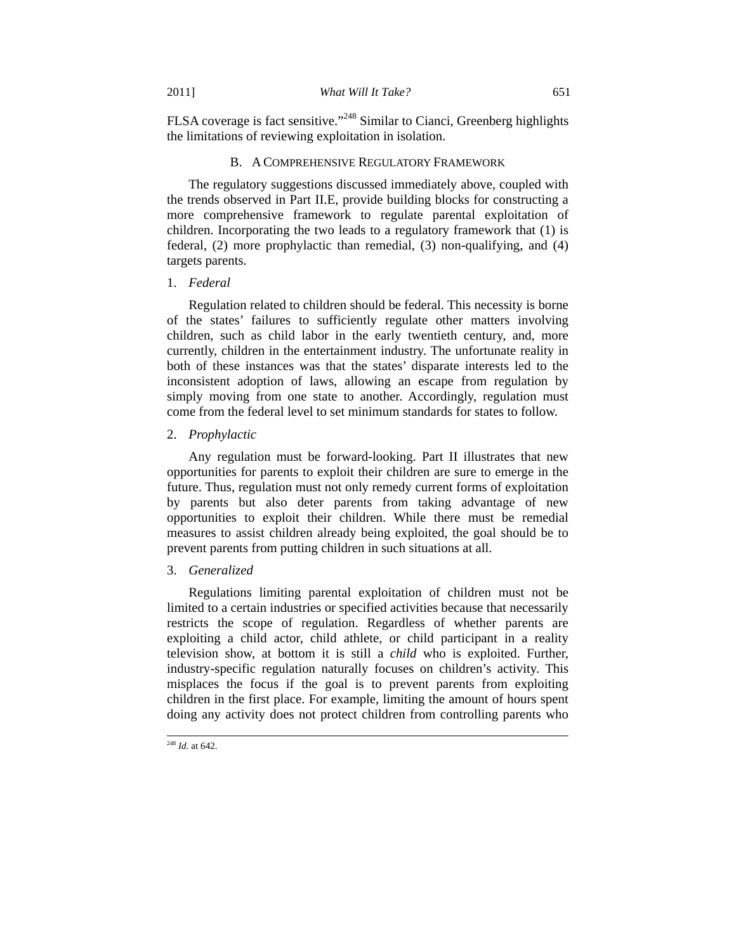FLSA coverage is fact sensitive."<sup>248</sup> Similar to Cianci, Greenberg highlights the limitations of reviewing exploitation in isolation.

### B. A COMPREHENSIVE REGULATORY FRAMEWORK

The regulatory suggestions discussed immediately above, coupled with the trends observed in Part II.E, provide building blocks for constructing a more comprehensive framework to regulate parental exploitation of children. Incorporating the two leads to a regulatory framework that (1) is federal, (2) more prophylactic than remedial, (3) non-qualifying, and (4) targets parents.

### 1. *Federal*

Regulation related to children should be federal. This necessity is borne of the states' failures to sufficiently regulate other matters involving children, such as child labor in the early twentieth century, and, more currently, children in the entertainment industry. The unfortunate reality in both of these instances was that the states' disparate interests led to the inconsistent adoption of laws, allowing an escape from regulation by simply moving from one state to another. Accordingly, regulation must come from the federal level to set minimum standards for states to follow.

### 2. *Prophylactic*

Any regulation must be forward-looking. Part II illustrates that new opportunities for parents to exploit their children are sure to emerge in the future. Thus, regulation must not only remedy current forms of exploitation by parents but also deter parents from taking advantage of new opportunities to exploit their children. While there must be remedial measures to assist children already being exploited, the goal should be to prevent parents from putting children in such situations at all.

# 3. *Generalized*

Regulations limiting parental exploitation of children must not be limited to a certain industries or specified activities because that necessarily restricts the scope of regulation. Regardless of whether parents are exploiting a child actor, child athlete, or child participant in a reality television show, at bottom it is still a *child* who is exploited. Further, industry-specific regulation naturally focuses on children's activity. This misplaces the focus if the goal is to prevent parents from exploiting children in the first place. For example, limiting the amount of hours spent doing any activity does not protect children from controlling parents who

 <sup>248</sup> *Id.* at 642.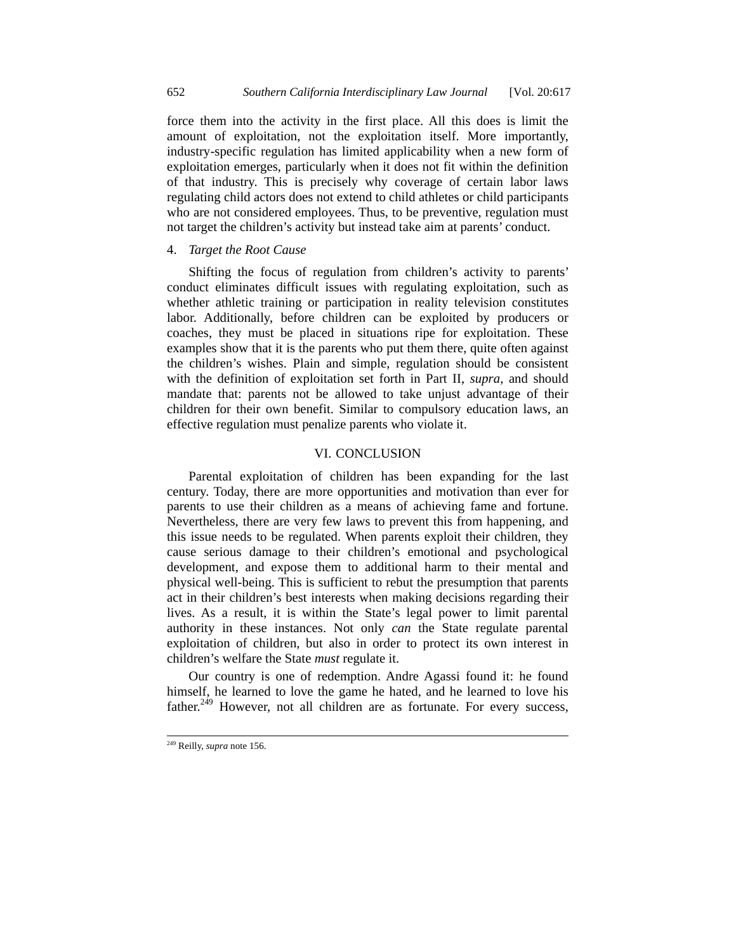force them into the activity in the first place. All this does is limit the amount of exploitation, not the exploitation itself. More importantly, industry-specific regulation has limited applicability when a new form of exploitation emerges, particularly when it does not fit within the definition of that industry. This is precisely why coverage of certain labor laws regulating child actors does not extend to child athletes or child participants who are not considered employees. Thus, to be preventive, regulation must not target the children's activity but instead take aim at parents' conduct.

# 4. *Target the Root Cause*

Shifting the focus of regulation from children's activity to parents' conduct eliminates difficult issues with regulating exploitation, such as whether athletic training or participation in reality television constitutes labor. Additionally, before children can be exploited by producers or coaches, they must be placed in situations ripe for exploitation. These examples show that it is the parents who put them there, quite often against the children's wishes. Plain and simple, regulation should be consistent with the definition of exploitation set forth in Part II, *supra*, and should mandate that: parents not be allowed to take unjust advantage of their children for their own benefit. Similar to compulsory education laws, an effective regulation must penalize parents who violate it.

### VI. CONCLUSION

Parental exploitation of children has been expanding for the last century. Today, there are more opportunities and motivation than ever for parents to use their children as a means of achieving fame and fortune. Nevertheless, there are very few laws to prevent this from happening, and this issue needs to be regulated. When parents exploit their children, they cause serious damage to their children's emotional and psychological development, and expose them to additional harm to their mental and physical well-being. This is sufficient to rebut the presumption that parents act in their children's best interests when making decisions regarding their lives. As a result, it is within the State's legal power to limit parental authority in these instances. Not only *can* the State regulate parental exploitation of children, but also in order to protect its own interest in children's welfare the State *must* regulate it.

Our country is one of redemption. Andre Agassi found it: he found himself, he learned to love the game he hated, and he learned to love his father.<sup>249</sup> However, not all children are as fortunate. For every success,

 <sup>249</sup> Reilly, *supra* note 156.